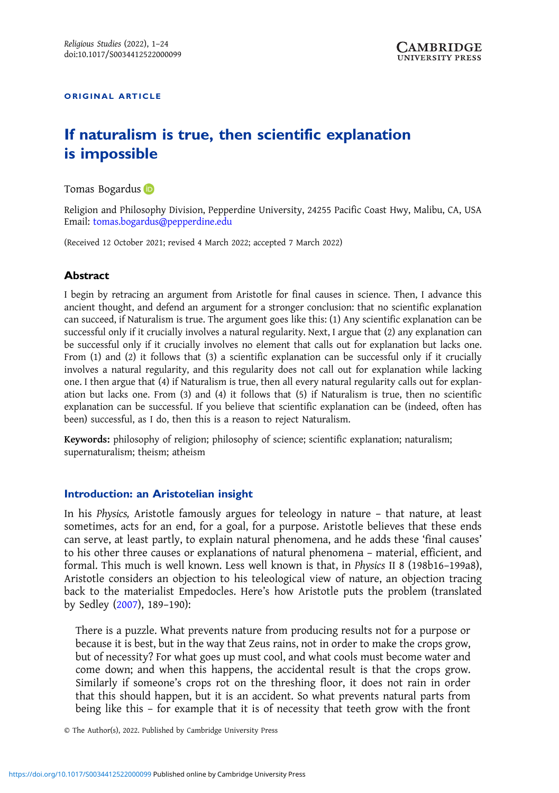ORIGINAL ARTICLE

# If naturalism is true, then scientific explanation is impossible

Tomas Bogardus

Religion and Philosophy Division, Pepperdine University, 24255 Pacific Coast Hwy, Malibu, CA, USA Email: [tomas.bogardus@pepperdine.edu](mailto:tomas.bogardus@pepperdine.edu)

(Received 12 October 2021; revised 4 March 2022; accepted 7 March 2022)

# **Abstract**

I begin by retracing an argument from Aristotle for final causes in science. Then, I advance this ancient thought, and defend an argument for a stronger conclusion: that no scientific explanation can succeed, if Naturalism is true. The argument goes like this: (1) Any scientific explanation can be successful only if it crucially involves a natural regularity. Next, I argue that (2) any explanation can be successful only if it crucially involves no element that calls out for explanation but lacks one. From (1) and (2) it follows that (3) a scientific explanation can be successful only if it crucially involves a natural regularity, and this regularity does not call out for explanation while lacking one. I then argue that (4) if Naturalism is true, then all every natural regularity calls out for explanation but lacks one. From (3) and (4) it follows that (5) if Naturalism is true, then no scientific explanation can be successful. If you believe that scientific explanation can be (indeed, often has been) successful, as I do, then this is a reason to reject Naturalism.

Keywords: philosophy of religion; philosophy of science; scientific explanation; naturalism; supernaturalism; theism; atheism

# Introduction: an Aristotelian insight

In his Physics, Aristotle famously argues for teleology in nature – that nature, at least sometimes, acts for an end, for a goal, for a purpose. Aristotle believes that these ends can serve, at least partly, to explain natural phenomena, and he adds these 'final causes' to his other three causes or explanations of natural phenomena – material, efficient, and formal. This much is well known. Less well known is that, in Physics II 8 (198b16–199a8), Aristotle considers an objection to his teleological view of nature, an objection tracing back to the materialist Empedocles. Here's how Aristotle puts the problem (translated by Sedley ([2007\)](#page-23-0), 189–190):

There is a puzzle. What prevents nature from producing results not for a purpose or because it is best, but in the way that Zeus rains, not in order to make the crops grow, but of necessity? For what goes up must cool, and what cools must become water and come down; and when this happens, the accidental result is that the crops grow. Similarly if someone's crops rot on the threshing floor, it does not rain in order that this should happen, but it is an accident. So what prevents natural parts from being like this – for example that it is of necessity that teeth grow with the front

<sup>©</sup> The Author(s), 2022. Published by Cambridge University Press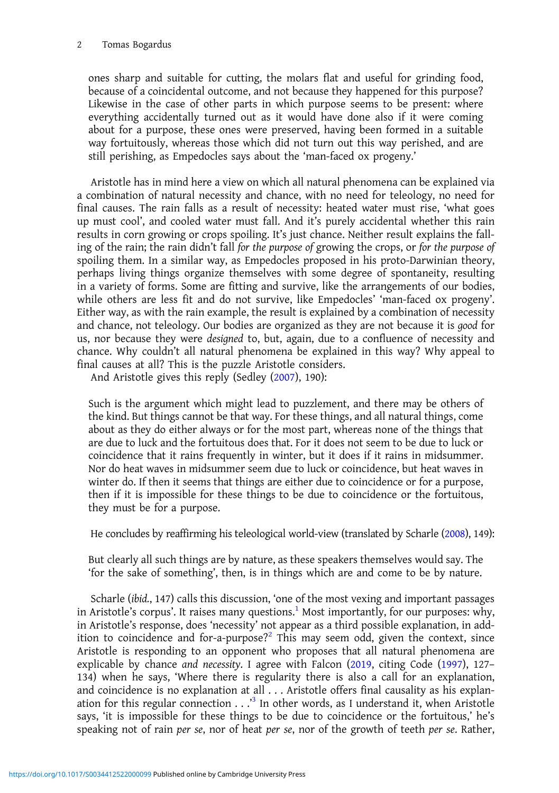## 2 Tomas Bogardus

ones sharp and suitable for cutting, the molars flat and useful for grinding food, because of a coincidental outcome, and not because they happened for this purpose? Likewise in the case of other parts in which purpose seems to be present: where everything accidentally turned out as it would have done also if it were coming about for a purpose, these ones were preserved, having been formed in a suitable way fortuitously, whereas those which did not turn out this way perished, and are still perishing, as Empedocles says about the 'man-faced ox progeny.'

Aristotle has in mind here a view on which all natural phenomena can be explained via a combination of natural necessity and chance, with no need for teleology, no need for final causes. The rain falls as a result of necessity: heated water must rise, 'what goes up must cool', and cooled water must fall. And it's purely accidental whether this rain results in corn growing or crops spoiling. It's just chance. Neither result explains the falling of the rain; the rain didn't fall for the purpose of growing the crops, or for the purpose of spoiling them. In a similar way, as Empedocles proposed in his proto-Darwinian theory, perhaps living things organize themselves with some degree of spontaneity, resulting in a variety of forms. Some are fitting and survive, like the arrangements of our bodies, while others are less fit and do not survive, like Empedocles' 'man-faced ox progeny'. Either way, as with the rain example, the result is explained by a combination of necessity and chance, not teleology. Our bodies are organized as they are not because it is good for us, nor because they were designed to, but, again, due to a confluence of necessity and chance. Why couldn't all natural phenomena be explained in this way? Why appeal to final causes at all? This is the puzzle Aristotle considers.

And Aristotle gives this reply (Sedley ([2007](#page-23-0)), 190):

Such is the argument which might lead to puzzlement, and there may be others of the kind. But things cannot be that way. For these things, and all natural things, come about as they do either always or for the most part, whereas none of the things that are due to luck and the fortuitous does that. For it does not seem to be due to luck or coincidence that it rains frequently in winter, but it does if it rains in midsummer. Nor do heat waves in midsummer seem due to luck or coincidence, but heat waves in winter do. If then it seems that things are either due to coincidence or for a purpose, then if it is impossible for these things to be due to coincidence or the fortuitous, they must be for a purpose.

He concludes by reaffirming his teleological world-view (translated by Scharle [\(2008](#page-23-0)), 149):

But clearly all such things are by nature, as these speakers themselves would say. The 'for the sake of something', then, is in things which are and come to be by nature.

Scharle (ibid., 147) calls this discussion, 'one of the most vexing and important passages in Aristotle's corpus'. It raises many questions.<sup>[1](#page-15-0)</sup> Most importantly, for our purposes: why, in Aristotle's response, does 'necessity' not appear as a third possible explanation, in add-ition to coincidence and for-a-purpose?<sup>[2](#page-15-0)</sup> This may seem odd, given the context, since Aristotle is responding to an opponent who proposes that all natural phenomena are explicable by chance and necessity. I agree with Falcon [\(2019,](#page-21-0) citing Code [\(1997](#page-21-0)), 127– 134) when he says, 'Where there is regularity there is also a call for an explanation, and coincidence is no explanation at all . . . Aristotle offers final causality as his explan-ation for this regular connection . . .<sup>[3](#page-15-0)</sup> In other words, as I understand it, when Aristotle says, 'it is impossible for these things to be due to coincidence or the fortuitous,' he's speaking not of rain per se, nor of heat per se, nor of the growth of teeth per se. Rather,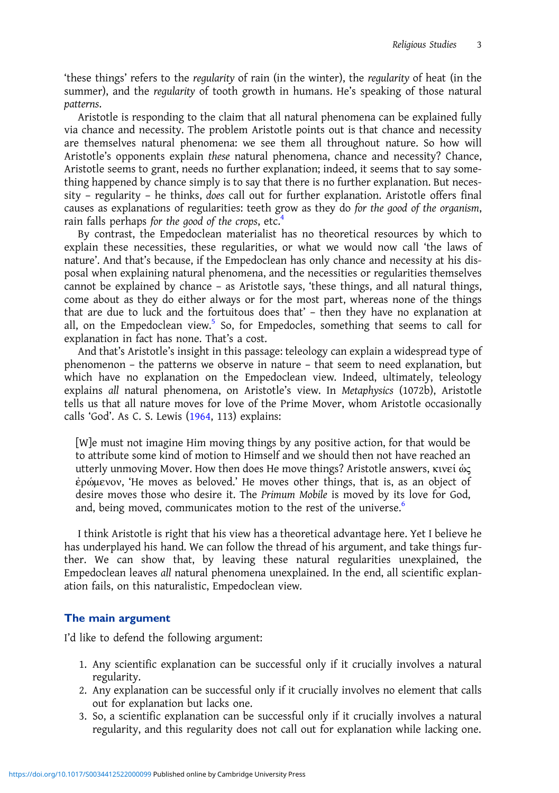'these things' refers to the regularity of rain (in the winter), the regularity of heat (in the summer), and the regularity of tooth growth in humans. He's speaking of those natural patterns.

Aristotle is responding to the claim that all natural phenomena can be explained fully via chance and necessity. The problem Aristotle points out is that chance and necessity are themselves natural phenomena: we see them all throughout nature. So how will Aristotle's opponents explain these natural phenomena, chance and necessity? Chance, Aristotle seems to grant, needs no further explanation; indeed, it seems that to say something happened by chance simply is to say that there is no further explanation. But necessity – regularity – he thinks, does call out for further explanation. Aristotle offers final causes as explanations of regularities: teeth grow as they do for the good of the organism, rain falls perhaps for the good of the crops, etc.<sup>4</sup>

By contrast, the Empedoclean materialist has no theoretical resources by which to explain these necessities, these regularities, or what we would now call 'the laws of nature'. And that's because, if the Empedoclean has only chance and necessity at his disposal when explaining natural phenomena, and the necessities or regularities themselves cannot be explained by chance – as Aristotle says, 'these things, and all natural things, come about as they do either always or for the most part, whereas none of the things that are due to luck and the fortuitous does that' – then they have no explanation at all, on the Empedoclean view.<sup>[5](#page-15-0)</sup> So, for Empedocles, something that seems to call for explanation in fact has none. That's a cost.

And that's Aristotle's insight in this passage: teleology can explain a widespread type of phenomenon – the patterns we observe in nature – that seem to need explanation, but which have no explanation on the Empedoclean view. Indeed, ultimately, teleology explains all natural phenomena, on Aristotle's view. In Metaphysics (1072b), Aristotle tells us that all nature moves for love of the Prime Mover, whom Aristotle occasionally calls 'God'. As C. S. Lewis [\(1964,](#page-22-0) 113) explains:

[W]e must not imagine Him moving things by any positive action, for that would be to attribute some kind of motion to Himself and we should then not have reached an utterly unmoving Mover. How then does He move things? Aristotle answers, κινεί ὡς ἐρώμενον, 'He moves as beloved.' He moves other things, that is, as an object of desire moves those who desire it. The Primum Mobile is moved by its love for God, and, being moved, communicates motion to the rest of the universe.<sup>[6](#page-15-0)</sup>

I think Aristotle is right that his view has a theoretical advantage here. Yet I believe he has underplayed his hand. We can follow the thread of his argument, and take things further. We can show that, by leaving these natural regularities unexplained, the Empedoclean leaves all natural phenomena unexplained. In the end, all scientific explanation fails, on this naturalistic, Empedoclean view.

# The main argument

I'd like to defend the following argument:

- 1. Any scientific explanation can be successful only if it crucially involves a natural regularity.
- 2. Any explanation can be successful only if it crucially involves no element that calls out for explanation but lacks one.
- 3. So, a scientific explanation can be successful only if it crucially involves a natural regularity, and this regularity does not call out for explanation while lacking one.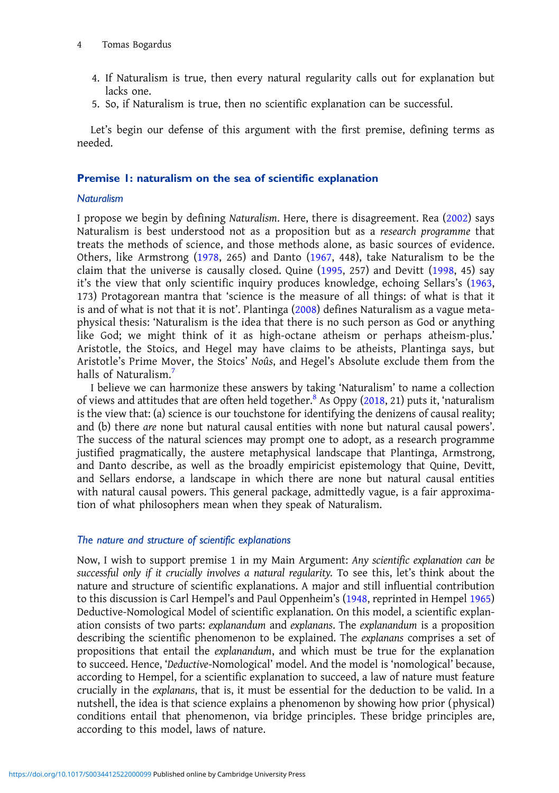- 4. If Naturalism is true, then every natural regularity calls out for explanation but lacks one.
- 5. So, if Naturalism is true, then no scientific explanation can be successful.

Let's begin our defense of this argument with the first premise, defining terms as needed.

## Premise 1: naturalism on the sea of scientific explanation

## **Naturalism**

I propose we begin by defining Naturalism. Here, there is disagreement. Rea ([2002](#page-22-0)) says Naturalism is best understood not as a proposition but as a research programme that treats the methods of science, and those methods alone, as basic sources of evidence. Others, like Armstrong [\(1978](#page-21-0), 265) and Danto ([1967,](#page-21-0) 448), take Naturalism to be the claim that the universe is causally closed. Quine ([1995](#page-22-0), 257) and Devitt ([1998,](#page-21-0) 45) say it's the view that only scientific inquiry produces knowledge, echoing Sellars's [\(1963](#page-23-0), 173) Protagorean mantra that 'science is the measure of all things: of what is that it is and of what is not that it is not'. Plantinga [\(2008\)](#page-22-0) defines Naturalism as a vague metaphysical thesis: 'Naturalism is the idea that there is no such person as God or anything like God; we might think of it as high-octane atheism or perhaps atheism-plus.' Aristotle, the Stoics, and Hegel may have claims to be atheists, Plantinga says, but Aristotle's Prime Mover, the Stoics' Noûs, and Hegel's Absolute exclude them from the halls of Naturalism.<sup>[7](#page-15-0)</sup>

I believe we can harmonize these answers by taking 'Naturalism' to name a collection of views and attitudes that are often held together.<sup>[8](#page-15-0)</sup> As Oppy ([2018,](#page-22-0) 21) puts it, 'naturalism is the view that: (a) science is our touchstone for identifying the denizens of causal reality; and (b) there are none but natural causal entities with none but natural causal powers'. The success of the natural sciences may prompt one to adopt, as a research programme justified pragmatically, the austere metaphysical landscape that Plantinga, Armstrong, and Danto describe, as well as the broadly empiricist epistemology that Quine, Devitt, and Sellars endorse, a landscape in which there are none but natural causal entities with natural causal powers. This general package, admittedly vague, is a fair approximation of what philosophers mean when they speak of Naturalism.

# The nature and structure of scientific explanations

Now, I wish to support premise 1 in my Main Argument: Any scientific explanation can be successful only if it crucially involves a natural regularity. To see this, let's think about the nature and structure of scientific explanations. A major and still influential contribution to this discussion is Carl Hempel's and Paul Oppenheim's [\(1948](#page-22-0), reprinted in Hempel [1965](#page-21-0)) Deductive-Nomological Model of scientific explanation. On this model, a scientific explanation consists of two parts: explanandum and explanans. The explanandum is a proposition describing the scientific phenomenon to be explained. The explanans comprises a set of propositions that entail the explanandum, and which must be true for the explanation to succeed. Hence, 'Deductive-Nomological' model. And the model is 'nomological' because, according to Hempel, for a scientific explanation to succeed, a law of nature must feature crucially in the explanans, that is, it must be essential for the deduction to be valid. In a nutshell, the idea is that science explains a phenomenon by showing how prior (physical) conditions entail that phenomenon, via bridge principles. These bridge principles are, according to this model, laws of nature.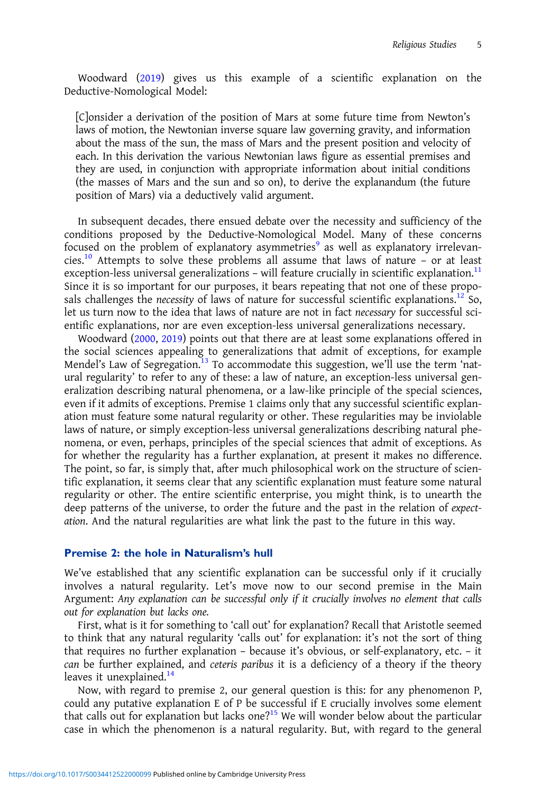Woodward [\(2019](#page-23-0)) gives us this example of a scientific explanation on the Deductive-Nomological Model:

[C]onsider a derivation of the position of Mars at some future time from Newton's laws of motion, the Newtonian inverse square law governing gravity, and information about the mass of the sun, the mass of Mars and the present position and velocity of each. In this derivation the various Newtonian laws figure as essential premises and they are used, in conjunction with appropriate information about initial conditions (the masses of Mars and the sun and so on), to derive the explanandum (the future position of Mars) via a deductively valid argument.

In subsequent decades, there ensued debate over the necessity and sufficiency of the conditions proposed by the Deductive-Nomological Model. Many of these concerns focused on the problem of explanatory asymmetries<sup>[9](#page-15-0)</sup> as well as explanatory irrelevan-cies.<sup>[10](#page-15-0)</sup> Attempts to solve these problems all assume that laws of nature – or at least exception-less universal generalizations – will feature crucially in scientific explanation.<sup>[11](#page-16-0)</sup> Since it is so important for our purposes, it bears repeating that not one of these propo-sals challenges the necessity of laws of nature for successful scientific explanations.<sup>[12](#page-16-0)</sup> So, let us turn now to the idea that laws of nature are not in fact necessary for successful scientific explanations, nor are even exception-less universal generalizations necessary.

Woodward [\(2000](#page-23-0), [2019](#page-23-0)) points out that there are at least some explanations offered in the social sciences appealing to generalizations that admit of exceptions, for example Mendel's Law of Segregation.<sup>[13](#page-16-0)</sup> To accommodate this suggestion, we'll use the term 'natural regularity' to refer to any of these: a law of nature, an exception-less universal generalization describing natural phenomena, or a law-like principle of the special sciences, even if it admits of exceptions. Premise 1 claims only that any successful scientific explanation must feature some natural regularity or other. These regularities may be inviolable laws of nature, or simply exception-less universal generalizations describing natural phenomena, or even, perhaps, principles of the special sciences that admit of exceptions. As for whether the regularity has a further explanation, at present it makes no difference. The point, so far, is simply that, after much philosophical work on the structure of scientific explanation, it seems clear that any scientific explanation must feature some natural regularity or other. The entire scientific enterprise, you might think, is to unearth the deep patterns of the universe, to order the future and the past in the relation of expectation. And the natural regularities are what link the past to the future in this way.

## Premise 2: the hole in Naturalism's hull

We've established that any scientific explanation can be successful only if it crucially involves a natural regularity. Let's move now to our second premise in the Main Argument: Any explanation can be successful only if it crucially involves no element that calls out for explanation but lacks one.

First, what is it for something to 'call out' for explanation? Recall that Aristotle seemed to think that any natural regularity 'calls out' for explanation: it's not the sort of thing that requires no further explanation – because it's obvious, or self-explanatory, etc. – it can be further explained, and ceteris paribus it is a deficiency of a theory if the theory leaves it unexplained. $14$ 

Now, with regard to premise 2, our general question is this: for any phenomenon P, could any putative explanation E of P be successful if E crucially involves some element that calls out for explanation but lacks one?<sup>[15](#page-16-0)</sup> We will wonder below about the particular case in which the phenomenon is a natural regularity. But, with regard to the general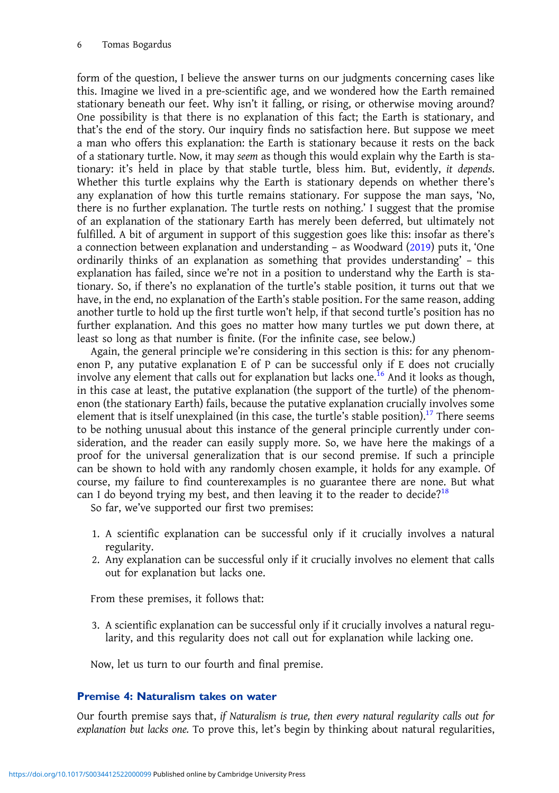form of the question, I believe the answer turns on our judgments concerning cases like this. Imagine we lived in a pre-scientific age, and we wondered how the Earth remained stationary beneath our feet. Why isn't it falling, or rising, or otherwise moving around? One possibility is that there is no explanation of this fact; the Earth is stationary, and that's the end of the story. Our inquiry finds no satisfaction here. But suppose we meet a man who offers this explanation: the Earth is stationary because it rests on the back of a stationary turtle. Now, it may seem as though this would explain why the Earth is stationary: it's held in place by that stable turtle, bless him. But, evidently, it depends. Whether this turtle explains why the Earth is stationary depends on whether there's any explanation of how this turtle remains stationary. For suppose the man says, 'No, there is no further explanation. The turtle rests on nothing.' I suggest that the promise of an explanation of the stationary Earth has merely been deferred, but ultimately not fulfilled. A bit of argument in support of this suggestion goes like this: insofar as there's a connection between explanation and understanding – as Woodward ([2019](#page-23-0)) puts it, 'One ordinarily thinks of an explanation as something that provides understanding' – this explanation has failed, since we're not in a position to understand why the Earth is stationary. So, if there's no explanation of the turtle's stable position, it turns out that we have, in the end, no explanation of the Earth's stable position. For the same reason, adding another turtle to hold up the first turtle won't help, if that second turtle's position has no further explanation. And this goes no matter how many turtles we put down there, at least so long as that number is finite. (For the infinite case, see below.)

Again, the general principle we're considering in this section is this: for any phenomenon P, any putative explanation E of P can be successful only if E does not crucially involve any element that calls out for explanation but lacks one.<sup>[16](#page-16-0)</sup> And it looks as though, in this case at least, the putative explanation (the support of the turtle) of the phenomenon (the stationary Earth) fails, because the putative explanation crucially involves some element that is itself unexplained (in this case, the turtle's stable position).<sup>[17](#page-17-0)</sup> There seems to be nothing unusual about this instance of the general principle currently under consideration, and the reader can easily supply more. So, we have here the makings of a proof for the universal generalization that is our second premise. If such a principle can be shown to hold with any randomly chosen example, it holds for any example. Of course, my failure to find counterexamples is no guarantee there are none. But what can I do beyond trying my best, and then leaving it to the reader to decide?<sup>[18](#page-17-0)</sup>

So far, we've supported our first two premises:

- 1. A scientific explanation can be successful only if it crucially involves a natural regularity.
- 2. Any explanation can be successful only if it crucially involves no element that calls out for explanation but lacks one.

From these premises, it follows that:

3. A scientific explanation can be successful only if it crucially involves a natural regularity, and this regularity does not call out for explanation while lacking one.

Now, let us turn to our fourth and final premise.

# Premise 4: Naturalism takes on water

Our fourth premise says that, if Naturalism is true, then every natural regularity calls out for explanation but lacks one. To prove this, let's begin by thinking about natural regularities,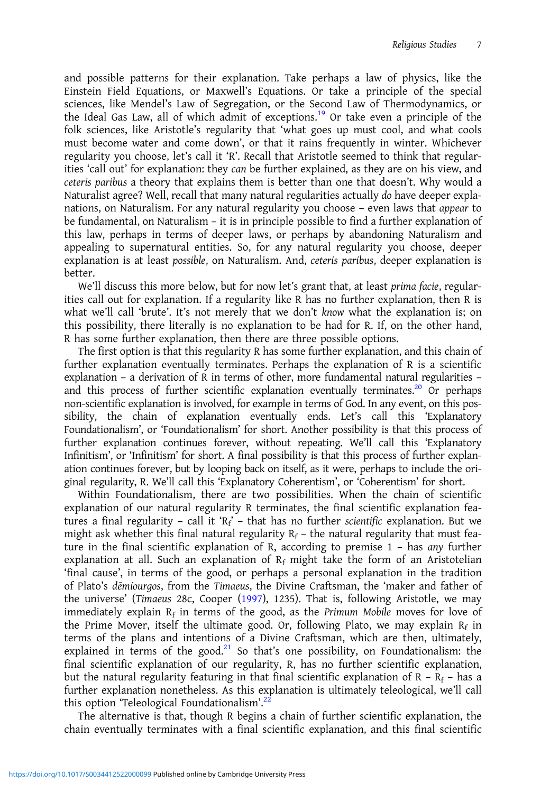and possible patterns for their explanation. Take perhaps a law of physics, like the Einstein Field Equations, or Maxwell's Equations. Or take a principle of the special sciences, like Mendel's Law of Segregation, or the Second Law of Thermodynamics, or the Ideal Gas Law, all of which admit of exceptions.<sup>[19](#page-17-0)</sup> Or take even a principle of the folk sciences, like Aristotle's regularity that 'what goes up must cool, and what cools must become water and come down', or that it rains frequently in winter. Whichever regularity you choose, let's call it 'R'. Recall that Aristotle seemed to think that regularities 'call out' for explanation: they can be further explained, as they are on his view, and ceteris paribus a theory that explains them is better than one that doesn't. Why would a Naturalist agree? Well, recall that many natural regularities actually do have deeper explanations, on Naturalism. For any natural regularity you choose – even laws that appear to be fundamental, on Naturalism – it is in principle possible to find a further explanation of this law, perhaps in terms of deeper laws, or perhaps by abandoning Naturalism and appealing to supernatural entities. So, for any natural regularity you choose, deeper explanation is at least possible, on Naturalism. And, ceteris paribus, deeper explanation is better.

We'll discuss this more below, but for now let's grant that, at least prima facie, regularities call out for explanation. If a regularity like R has no further explanation, then R is what we'll call 'brute'. It's not merely that we don't know what the explanation is; on this possibility, there literally is no explanation to be had for R. If, on the other hand, R has some further explanation, then there are three possible options.

The first option is that this regularity R has some further explanation, and this chain of further explanation eventually terminates. Perhaps the explanation of R is a scientific explanation – a derivation of R in terms of other, more fundamental natural regularities – and this process of further scientific explanation eventually terminates.<sup>[20](#page-17-0)</sup> Or perhaps non-scientific explanation is involved, for example in terms of God. In any event, on this possibility, the chain of explanation eventually ends. Let's call this 'Explanatory Foundationalism', or 'Foundationalism' for short. Another possibility is that this process of further explanation continues forever, without repeating. We'll call this 'Explanatory Infinitism', or 'Infinitism' for short. A final possibility is that this process of further explanation continues forever, but by looping back on itself, as it were, perhaps to include the original regularity, R. We'll call this 'Explanatory Coherentism', or 'Coherentism' for short.

Within Foundationalism, there are two possibilities. When the chain of scientific explanation of our natural regularity R terminates, the final scientific explanation features a final regularity – call it 'R<sub>f</sub>' – that has no further *scientific* explanation. But we might ask whether this final natural regularity  $R_f$  – the natural regularity that must feature in the final scientific explanation of R, according to premise 1 – has any further explanation at all. Such an explanation of  $R_f$  might take the form of an Aristotelian 'final cause', in terms of the good, or perhaps a personal explanation in the tradition of Plato's dēmiourgos, from the Timaeus, the Divine Craftsman, the 'maker and father of the universe' (Timaeus 28c, Cooper ([1997\)](#page-21-0), 1235). That is, following Aristotle, we may immediately explain  $R_f$  in terms of the good, as the Primum Mobile moves for love of the Prime Mover, itself the ultimate good. Or, following Plato, we may explain  $R_f$  in terms of the plans and intentions of a Divine Craftsman, which are then, ultimately, explained in terms of the good.<sup>21</sup> So that's one possibility, on Foundationalism: the final scientific explanation of our regularity, R, has no further scientific explanation, but the natural regularity featuring in that final scientific explanation of  $R - R_f$  – has a further explanation nonetheless. As this explanation is ultimately teleological, we'll call this option 'Teleological Foundationalism'.<sup>[22](#page-18-0)</sup>

The alternative is that, though R begins a chain of further scientific explanation, the chain eventually terminates with a final scientific explanation, and this final scientific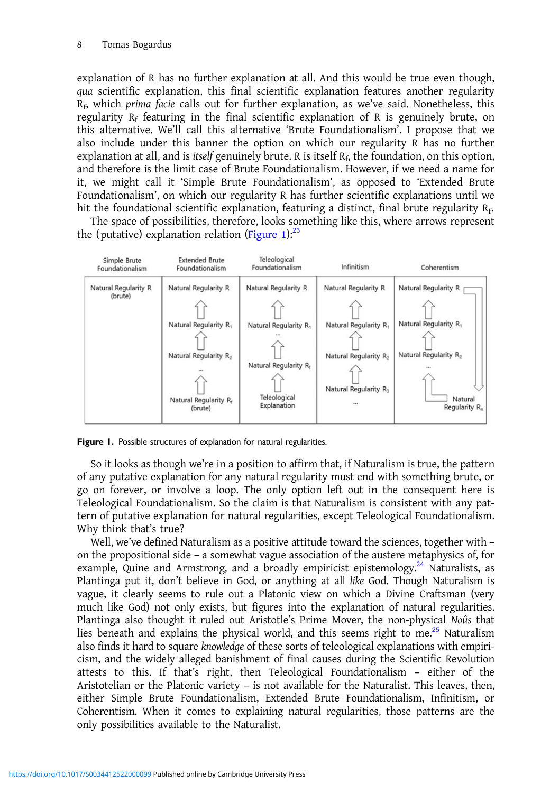explanation of R has no further explanation at all. And this would be true even though, qua scientific explanation, this final scientific explanation features another regularity  $R_f$ , which prima facie calls out for further explanation, as we've said. Nonetheless, this regularity  $R_f$  featuring in the final scientific explanation of R is genuinely brute, on this alternative. We'll call this alternative 'Brute Foundationalism'. I propose that we also include under this banner the option on which our regularity R has no further explanation at all, and is *itself* genuinely brute. R is itself  $R_f$ , the foundation, on this option, and therefore is the limit case of Brute Foundationalism. However, if we need a name for it, we might call it 'Simple Brute Foundationalism', as opposed to 'Extended Brute Foundationalism', on which our regularity R has further scientific explanations until we hit the foundational scientific explanation, featuring a distinct, final brute regularity  $R_f$ .

The space of possibilities, therefore, looks something like this, where arrows represent the (putative) explanation relation (Figure 1): $23$ 



Figure 1. Possible structures of explanation for natural regularities.

So it looks as though we're in a position to affirm that, if Naturalism is true, the pattern of any putative explanation for any natural regularity must end with something brute, or go on forever, or involve a loop. The only option left out in the consequent here is Teleological Foundationalism. So the claim is that Naturalism is consistent with any pattern of putative explanation for natural regularities, except Teleological Foundationalism. Why think that's true?

Well, we've defined Naturalism as a positive attitude toward the sciences, together with – on the propositional side – a somewhat vague association of the austere metaphysics of, for example, Quine and Armstrong, and a broadly empiricist epistemology.<sup>24</sup> Naturalists, as Plantinga put it, don't believe in God, or anything at all like God. Though Naturalism is vague, it clearly seems to rule out a Platonic view on which a Divine Craftsman (very much like God) not only exists, but figures into the explanation of natural regularities. Plantinga also thought it ruled out Aristotle's Prime Mover, the non-physical Noûs that lies beneath and explains the physical world, and this seems right to me.<sup>25</sup> Naturalism also finds it hard to square knowledge of these sorts of teleological explanations with empiricism, and the widely alleged banishment of final causes during the Scientific Revolution attests to this. If that's right, then Teleological Foundationalism – either of the Aristotelian or the Platonic variety – is not available for the Naturalist. This leaves, then, either Simple Brute Foundationalism, Extended Brute Foundationalism, Infinitism, or Coherentism. When it comes to explaining natural regularities, those patterns are the only possibilities available to the Naturalist.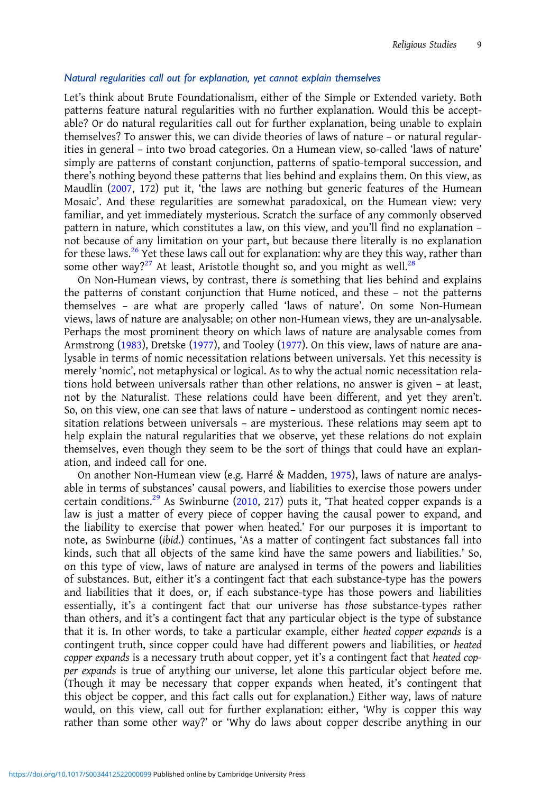#### Natural regularities call out for explanation, yet cannot explain themselves

Let's think about Brute Foundationalism, either of the Simple or Extended variety. Both patterns feature natural regularities with no further explanation. Would this be acceptable? Or do natural regularities call out for further explanation, being unable to explain themselves? To answer this, we can divide theories of laws of nature – or natural regularities in general – into two broad categories. On a Humean view, so-called 'laws of nature' simply are patterns of constant conjunction, patterns of spatio-temporal succession, and there's nothing beyond these patterns that lies behind and explains them. On this view, as Maudlin ([2007,](#page-22-0) 172) put it, 'the laws are nothing but generic features of the Humean Mosaic'. And these regularities are somewhat paradoxical, on the Humean view: very familiar, and yet immediately mysterious. Scratch the surface of any commonly observed pattern in nature, which constitutes a law, on this view, and you'll find no explanation – not because of any limitation on your part, but because there literally is no explanation for these laws.<sup>[26](#page-18-0)</sup> Yet these laws call out for explanation: why are they this way, rather than some other way?<sup>[27](#page-18-0)</sup> At least, Aristotle thought so, and you might as well.<sup>[28](#page-18-0)</sup>

On Non-Humean views, by contrast, there is something that lies behind and explains the patterns of constant conjunction that Hume noticed, and these – not the patterns themselves – are what are properly called 'laws of nature'. On some Non-Humean views, laws of nature are analysable; on other non-Humean views, they are un-analysable. Perhaps the most prominent theory on which laws of nature are analysable comes from Armstrong ([1983](#page-21-0)), Dretske ([1977\)](#page-21-0), and Tooley ([1977\)](#page-23-0). On this view, laws of nature are analysable in terms of nomic necessitation relations between universals. Yet this necessity is merely 'nomic', not metaphysical or logical. As to why the actual nomic necessitation relations hold between universals rather than other relations, no answer is given – at least, not by the Naturalist. These relations could have been different, and yet they aren't. So, on this view, one can see that laws of nature – understood as contingent nomic necessitation relations between universals – are mysterious. These relations may seem apt to help explain the natural regularities that we observe, yet these relations do not explain themselves, even though they seem to be the sort of things that could have an explanation, and indeed call for one.

On another Non-Humean view (e.g. Harré & Madden, [1975](#page-21-0)), laws of nature are analysable in terms of substances' causal powers, and liabilities to exercise those powers under certain conditions.<sup>[29](#page-19-0)</sup> As Swinburne ([2010](#page-23-0), 217) puts it, 'That heated copper expands is a law is just a matter of every piece of copper having the causal power to expand, and the liability to exercise that power when heated.' For our purposes it is important to note, as Swinburne (ibid.) continues, 'As a matter of contingent fact substances fall into kinds, such that all objects of the same kind have the same powers and liabilities.' So, on this type of view, laws of nature are analysed in terms of the powers and liabilities of substances. But, either it's a contingent fact that each substance-type has the powers and liabilities that it does, or, if each substance-type has those powers and liabilities essentially, it's a contingent fact that our universe has those substance-types rather than others, and it's a contingent fact that any particular object is the type of substance that it is. In other words, to take a particular example, either heated copper expands is a contingent truth, since copper could have had different powers and liabilities, or heated copper expands is a necessary truth about copper, yet it's a contingent fact that heated copper expands is true of anything our universe, let alone this particular object before me. (Though it may be necessary that copper expands when heated, it's contingent that this object be copper, and this fact calls out for explanation.) Either way, laws of nature would, on this view, call out for further explanation: either, 'Why is copper this way rather than some other way?' or 'Why do laws about copper describe anything in our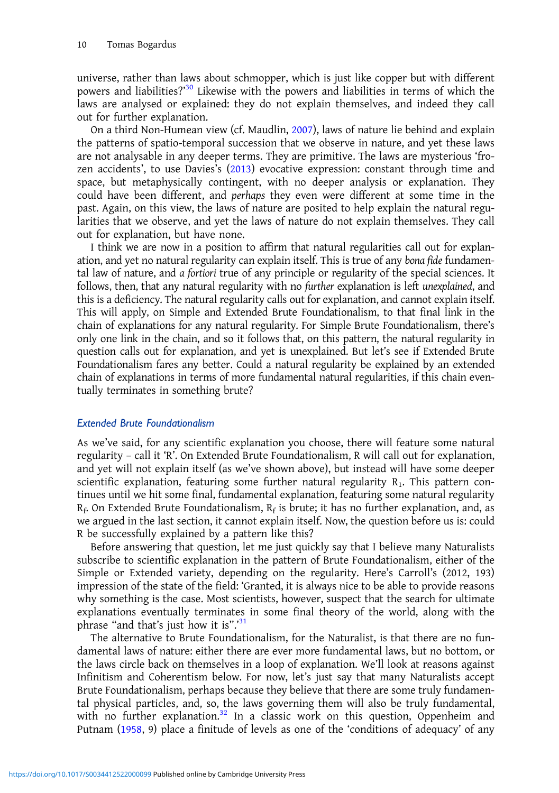universe, rather than laws about schmopper, which is just like copper but with different powers and liabilities?'<sup>[30](#page-19-0)</sup> Likewise with the powers and liabilities in terms of which the laws are analysed or explained: they do not explain themselves, and indeed they call out for further explanation.

On a third Non-Humean view (cf. Maudlin, [2007](#page-22-0)), laws of nature lie behind and explain the patterns of spatio-temporal succession that we observe in nature, and yet these laws are not analysable in any deeper terms. They are primitive. The laws are mysterious 'frozen accidents', to use Davies's [\(2013\)](#page-21-0) evocative expression: constant through time and space, but metaphysically contingent, with no deeper analysis or explanation. They could have been different, and perhaps they even were different at some time in the past. Again, on this view, the laws of nature are posited to help explain the natural regularities that we observe, and yet the laws of nature do not explain themselves. They call out for explanation, but have none.

I think we are now in a position to affirm that natural regularities call out for explanation, and yet no natural regularity can explain itself. This is true of any bona fide fundamental law of nature, and a fortiori true of any principle or regularity of the special sciences. It follows, then, that any natural regularity with no further explanation is left unexplained, and this is a deficiency. The natural regularity calls out for explanation, and cannot explain itself. This will apply, on Simple and Extended Brute Foundationalism, to that final link in the chain of explanations for any natural regularity. For Simple Brute Foundationalism, there's only one link in the chain, and so it follows that, on this pattern, the natural regularity in question calls out for explanation, and yet is unexplained. But let's see if Extended Brute Foundationalism fares any better. Could a natural regularity be explained by an extended chain of explanations in terms of more fundamental natural regularities, if this chain eventually terminates in something brute?

## Extended Brute Foundationalism

As we've said, for any scientific explanation you choose, there will feature some natural regularity – call it 'R'. On Extended Brute Foundationalism, R will call out for explanation, and yet will not explain itself (as we've shown above), but instead will have some deeper scientific explanation, featuring some further natural regularity  $R_1$ . This pattern continues until we hit some final, fundamental explanation, featuring some natural regularity  $R_f$ . On Extended Brute Foundationalism,  $R_f$  is brute; it has no further explanation, and, as we argued in the last section, it cannot explain itself. Now, the question before us is: could R be successfully explained by a pattern like this?

Before answering that question, let me just quickly say that I believe many Naturalists subscribe to scientific explanation in the pattern of Brute Foundationalism, either of the Simple or Extended variety, depending on the regularity. Here's Carroll's (2012, 193) impression of the state of the field: 'Granted, it is always nice to be able to provide reasons why something is the case. Most scientists, however, suspect that the search for ultimate explanations eventually terminates in some final theory of the world, along with the phrase "and that's just how it is".<sup>[31](#page-19-0)</sup>

The alternative to Brute Foundationalism, for the Naturalist, is that there are no fundamental laws of nature: either there are ever more fundamental laws, but no bottom, or the laws circle back on themselves in a loop of explanation. We'll look at reasons against Infinitism and Coherentism below. For now, let's just say that many Naturalists accept Brute Foundationalism, perhaps because they believe that there are some truly fundamental physical particles, and, so, the laws governing them will also be truly fundamental, with no further explanation.<sup>[32](#page-19-0)</sup> In a classic work on this question, Oppenheim and Putnam [\(1958](#page-22-0), 9) place a finitude of levels as one of the 'conditions of adequacy' of any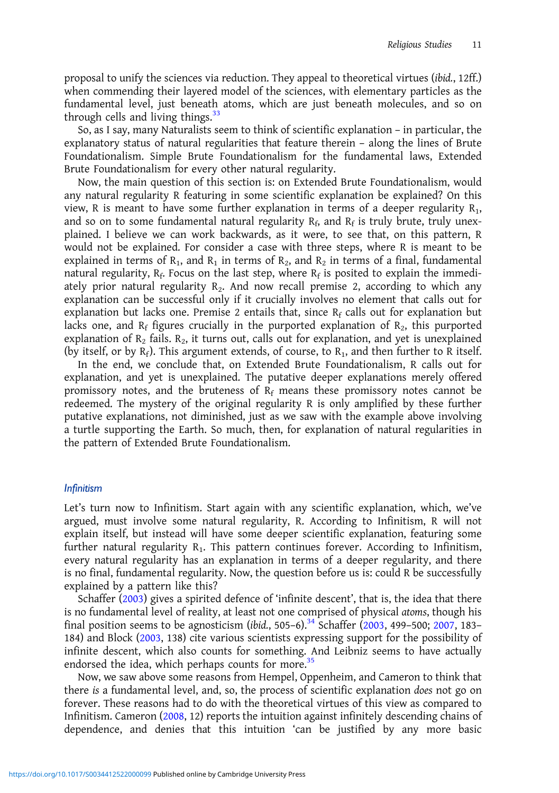proposal to unify the sciences via reduction. They appeal to theoretical virtues (ibid., 12ff.) when commending their layered model of the sciences, with elementary particles as the fundamental level, just beneath atoms, which are just beneath molecules, and so on through cells and living things. $33$ 

So, as I say, many Naturalists seem to think of scientific explanation – in particular, the explanatory status of natural regularities that feature therein – along the lines of Brute Foundationalism. Simple Brute Foundationalism for the fundamental laws, Extended Brute Foundationalism for every other natural regularity.

Now, the main question of this section is: on Extended Brute Foundationalism, would any natural regularity R featuring in some scientific explanation be explained? On this view, R is meant to have some further explanation in terms of a deeper regularity  $R_1$ , and so on to some fundamental natural regularity  $R_f$ , and  $R_f$  is truly brute, truly unexplained. I believe we can work backwards, as it were, to see that, on this pattern, R would not be explained. For consider a case with three steps, where R is meant to be explained in terms of  $R_1$ , and  $R_1$  in terms of  $R_2$ , and  $R_2$  in terms of a final, fundamental natural regularity,  $R_f$ . Focus on the last step, where  $R_f$  is posited to explain the immediately prior natural regularity  $R_2$ . And now recall premise 2, according to which any explanation can be successful only if it crucially involves no element that calls out for explanation but lacks one. Premise 2 entails that, since  $R_f$  calls out for explanation but lacks one, and  $R_f$  figures crucially in the purported explanation of  $R_2$ , this purported explanation of  $R_2$  fails.  $R_2$ , it turns out, calls out for explanation, and yet is unexplained (by itself, or by  $R_f$ ). This argument extends, of course, to  $R_1$ , and then further to R itself.

In the end, we conclude that, on Extended Brute Foundationalism, R calls out for explanation, and yet is unexplained. The putative deeper explanations merely offered promissory notes, and the bruteness of  $R_f$  means these promissory notes cannot be redeemed. The mystery of the original regularity R is only amplified by these further putative explanations, not diminished, just as we saw with the example above involving a turtle supporting the Earth. So much, then, for explanation of natural regularities in the pattern of Extended Brute Foundationalism.

#### Infinitism

Let's turn now to Infinitism. Start again with any scientific explanation, which, we've argued, must involve some natural regularity, R. According to Infinitism, R will not explain itself, but instead will have some deeper scientific explanation, featuring some further natural regularity  $R_1$ . This pattern continues forever. According to Infinitism, every natural regularity has an explanation in terms of a deeper regularity, and there is no final, fundamental regularity. Now, the question before us is: could R be successfully explained by a pattern like this?

Schaffer [\(2003\)](#page-22-0) gives a spirited defence of 'infinite descent', that is, the idea that there is no fundamental level of reality, at least not one comprised of physical atoms, though his final position seems to be agnosticism (ibid., 505-6).<sup>[34](#page-19-0)</sup> Schaffer [\(2003](#page-22-0), 499-500; [2007](#page-22-0), 183-184) and Block [\(2003](#page-21-0), 138) cite various scientists expressing support for the possibility of infinite descent, which also counts for something. And Leibniz seems to have actually endorsed the idea, which perhaps counts for more.<sup>[35](#page-19-0)</sup>

Now, we saw above some reasons from Hempel, Oppenheim, and Cameron to think that there is a fundamental level, and, so, the process of scientific explanation does not go on forever. These reasons had to do with the theoretical virtues of this view as compared to Infinitism. Cameron ([2008,](#page-21-0) 12) reports the intuition against infinitely descending chains of dependence, and denies that this intuition 'can be justified by any more basic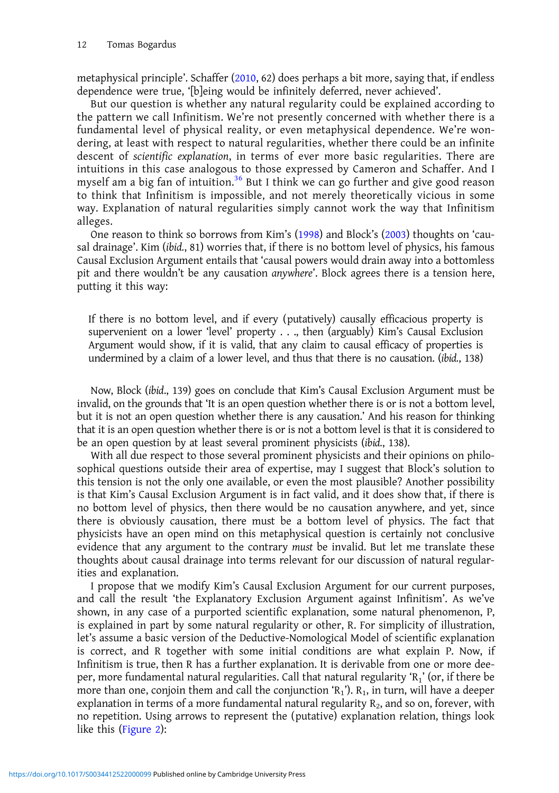metaphysical principle'. Schaffer [\(2010,](#page-22-0) 62) does perhaps a bit more, saying that, if endless dependence were true, '[b]eing would be infinitely deferred, never achieved'.

But our question is whether any natural regularity could be explained according to the pattern we call Infinitism. We're not presently concerned with whether there is a fundamental level of physical reality, or even metaphysical dependence. We're wondering, at least with respect to natural regularities, whether there could be an infinite descent of scientific explanation, in terms of ever more basic regularities. There are intuitions in this case analogous to those expressed by Cameron and Schaffer. And I myself am a big fan of intuition.<sup>[36](#page-19-0)</sup> But I think we can go further and give good reason to think that Infinitism is impossible, and not merely theoretically vicious in some way. Explanation of natural regularities simply cannot work the way that Infinitism alleges.

One reason to think so borrows from Kim's [\(1998\)](#page-22-0) and Block's ([2003\)](#page-21-0) thoughts on 'causal drainage'. Kim (ibid., 81) worries that, if there is no bottom level of physics, his famous Causal Exclusion Argument entails that 'causal powers would drain away into a bottomless pit and there wouldn't be any causation anywhere'. Block agrees there is a tension here, putting it this way:

If there is no bottom level, and if every (putatively) causally efficacious property is supervenient on a lower 'level' property . . ., then (arguably) Kim's Causal Exclusion Argument would show, if it is valid, that any claim to causal efficacy of properties is undermined by a claim of a lower level, and thus that there is no causation. (ibid., 138)

Now, Block (ibid., 139) goes on conclude that Kim's Causal Exclusion Argument must be invalid, on the grounds that 'It is an open question whether there is or is not a bottom level, but it is not an open question whether there is any causation.' And his reason for thinking that it is an open question whether there is or is not a bottom level is that it is considered to be an open question by at least several prominent physicists (ibid., 138).

With all due respect to those several prominent physicists and their opinions on philosophical questions outside their area of expertise, may I suggest that Block's solution to this tension is not the only one available, or even the most plausible? Another possibility is that Kim's Causal Exclusion Argument is in fact valid, and it does show that, if there is no bottom level of physics, then there would be no causation anywhere, and yet, since there is obviously causation, there must be a bottom level of physics. The fact that physicists have an open mind on this metaphysical question is certainly not conclusive evidence that any argument to the contrary must be invalid. But let me translate these thoughts about causal drainage into terms relevant for our discussion of natural regularities and explanation.

I propose that we modify Kim's Causal Exclusion Argument for our current purposes, and call the result 'the Explanatory Exclusion Argument against Infinitism'. As we've shown, in any case of a purported scientific explanation, some natural phenomenon, P, is explained in part by some natural regularity or other, R. For simplicity of illustration, let's assume a basic version of the Deductive-Nomological Model of scientific explanation is correct, and R together with some initial conditions are what explain P. Now, if Infinitism is true, then R has a further explanation. It is derivable from one or more deeper, more fundamental natural regularities. Call that natural regularity 'R<sub>1</sub>' (or, if there be more than one, conjoin them and call the conjunction ' $R_1$ ').  $R_1$ , in turn, will have a deeper explanation in terms of a more fundamental natural regularity  $R<sub>2</sub>$ , and so on, forever, with no repetition. Using arrows to represent the (putative) explanation relation, things look like this ([Figure 2\)](#page-12-0):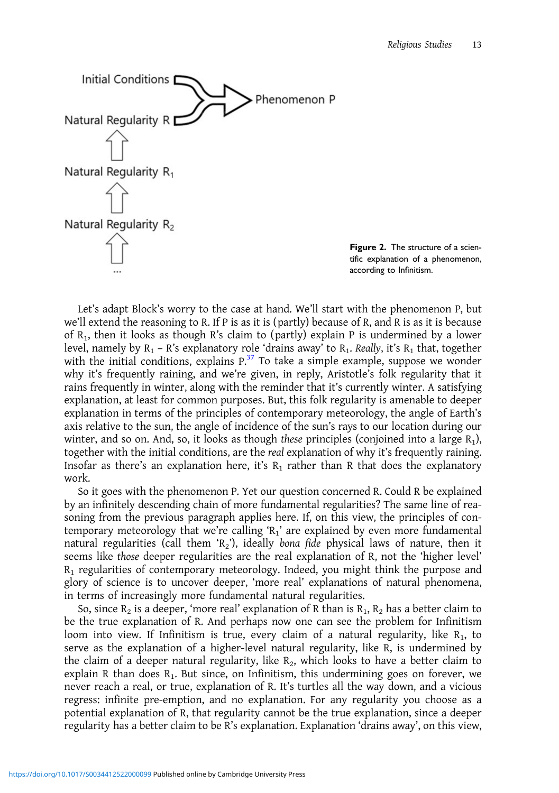<span id="page-12-0"></span>

Figure 2. The structure of a scientific explanation of a phenomenon, according to Infinitism.

Let's adapt Block's worry to the case at hand. We'll start with the phenomenon P, but we'll extend the reasoning to R. If P is as it is (partly) because of R, and R is as it is because of  $R_1$ , then it looks as though R's claim to (partly) explain P is undermined by a lower level, namely by  $R_1 - R$ 's explanatory role 'drains away' to  $R_1$ . Really, it's  $R_1$  that, together with the initial conditions, explains  $P<sup>37</sup>$  $P<sup>37</sup>$  $P<sup>37</sup>$  To take a simple example, suppose we wonder why it's frequently raining, and we're given, in reply, Aristotle's folk regularity that it rains frequently in winter, along with the reminder that it's currently winter. A satisfying explanation, at least for common purposes. But, this folk regularity is amenable to deeper explanation in terms of the principles of contemporary meteorology, the angle of Earth's axis relative to the sun, the angle of incidence of the sun's rays to our location during our winter, and so on. And, so, it looks as though these principles (conjoined into a large  $R_1$ ), together with the initial conditions, are the real explanation of why it's frequently raining. Insofar as there's an explanation here, it's  $R_1$  rather than R that does the explanatory work.

So it goes with the phenomenon P. Yet our question concerned R. Could R be explained by an infinitely descending chain of more fundamental regularities? The same line of reasoning from the previous paragraph applies here. If, on this view, the principles of contemporary meteorology that we're calling ' $R_1$ ' are explained by even more fundamental natural regularities (call them 'R<sub>2</sub>'), ideally bona fide physical laws of nature, then it seems like those deeper regularities are the real explanation of R, not the 'higher level' R<sub>1</sub> regularities of contemporary meteorology. Indeed, you might think the purpose and glory of science is to uncover deeper, 'more real' explanations of natural phenomena, in terms of increasingly more fundamental natural regularities.

So, since  $R_2$  is a deeper, 'more real' explanation of R than is  $R_1$ ,  $R_2$  has a better claim to be the true explanation of R. And perhaps now one can see the problem for Infinitism loom into view. If Infinitism is true, every claim of a natural regularity, like  $R_1$ , to serve as the explanation of a higher-level natural regularity, like R, is undermined by the claim of a deeper natural regularity, like  $R_2$ , which looks to have a better claim to explain R than does  $R_1$ . But since, on Infinitism, this undermining goes on forever, we never reach a real, or true, explanation of R. It's turtles all the way down, and a vicious regress: infinite pre-emption, and no explanation. For any regularity you choose as a potential explanation of R, that regularity cannot be the true explanation, since a deeper regularity has a better claim to be R's explanation. Explanation 'drains away', on this view,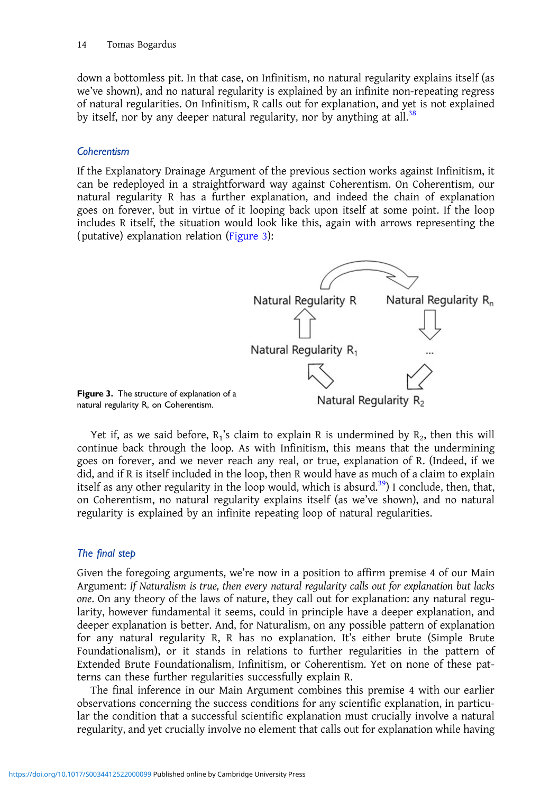down a bottomless pit. In that case, on Infinitism, no natural regularity explains itself (as we've shown), and no natural regularity is explained by an infinite non-repeating regress of natural regularities. On Infinitism, R calls out for explanation, and yet is not explained by itself, nor by any deeper natural regularity, nor by anything at all.<sup>[38](#page-20-0)</sup>

# **Coherentism**

If the Explanatory Drainage Argument of the previous section works against Infinitism, it can be redeployed in a straightforward way against Coherentism. On Coherentism, our natural regularity R has a further explanation, and indeed the chain of explanation goes on forever, but in virtue of it looping back upon itself at some point. If the loop includes R itself, the situation would look like this, again with arrows representing the (putative) explanation relation (Figure 3):



Yet if, as we said before,  $R_1$ 's claim to explain R is undermined by  $R_2$ , then this will continue back through the loop. As with Infinitism, this means that the undermining goes on forever, and we never reach any real, or true, explanation of R. (Indeed, if we did, and if R is itself included in the loop, then R would have as much of a claim to explain itself as any other regularity in the loop would, which is absurd.<sup>39</sup>) I conclude, then, that, on Coherentism, no natural regularity explains itself (as we've shown), and no natural regularity is explained by an infinite repeating loop of natural regularities.

# The final step

Given the foregoing arguments, we're now in a position to affirm premise 4 of our Main Argument: If Naturalism is true, then every natural regularity calls out for explanation but lacks one. On any theory of the laws of nature, they call out for explanation: any natural regularity, however fundamental it seems, could in principle have a deeper explanation, and deeper explanation is better. And, for Naturalism, on any possible pattern of explanation for any natural regularity R, R has no explanation. It's either brute (Simple Brute Foundationalism), or it stands in relations to further regularities in the pattern of Extended Brute Foundationalism, Infinitism, or Coherentism. Yet on none of these patterns can these further regularities successfully explain R.

The final inference in our Main Argument combines this premise 4 with our earlier observations concerning the success conditions for any scientific explanation, in particular the condition that a successful scientific explanation must crucially involve a natural regularity, and yet crucially involve no element that calls out for explanation while having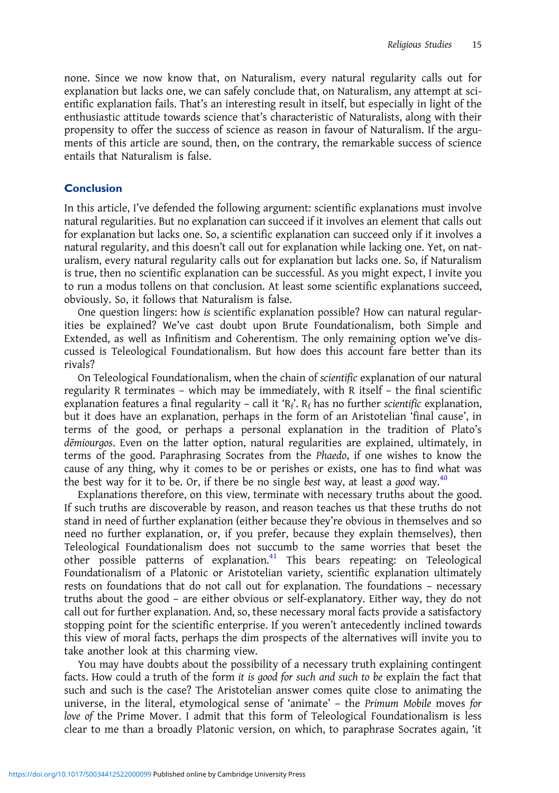none. Since we now know that, on Naturalism, every natural regularity calls out for explanation but lacks one, we can safely conclude that, on Naturalism, any attempt at scientific explanation fails. That's an interesting result in itself, but especially in light of the enthusiastic attitude towards science that's characteristic of Naturalists, along with their propensity to offer the success of science as reason in favour of Naturalism. If the arguments of this article are sound, then, on the contrary, the remarkable success of science entails that Naturalism is false.

# **Conclusion**

In this article, I've defended the following argument: scientific explanations must involve natural regularities. But no explanation can succeed if it involves an element that calls out for explanation but lacks one. So, a scientific explanation can succeed only if it involves a natural regularity, and this doesn't call out for explanation while lacking one. Yet, on naturalism, every natural regularity calls out for explanation but lacks one. So, if Naturalism is true, then no scientific explanation can be successful. As you might expect, I invite you to run a modus tollens on that conclusion. At least some scientific explanations succeed, obviously. So, it follows that Naturalism is false.

One question lingers: how is scientific explanation possible? How can natural regularities be explained? We've cast doubt upon Brute Foundationalism, both Simple and Extended, as well as Infinitism and Coherentism. The only remaining option we've discussed is Teleological Foundationalism. But how does this account fare better than its rivals?

On Teleological Foundationalism, when the chain of scientific explanation of our natural regularity R terminates – which may be immediately, with R itself – the final scientific explanation features a final regularity – call it ' $R_f$ '.  $R_f$  has no further *scientific* explanation, but it does have an explanation, perhaps in the form of an Aristotelian 'final cause', in terms of the good, or perhaps a personal explanation in the tradition of Plato's dēmiourgos. Even on the latter option, natural regularities are explained, ultimately, in terms of the good. Paraphrasing Socrates from the Phaedo, if one wishes to know the cause of any thing, why it comes to be or perishes or exists, one has to find what was the best way for it to be. Or, if there be no single best way, at least a good way.<sup>[40](#page-20-0)</sup>

Explanations therefore, on this view, terminate with necessary truths about the good. If such truths are discoverable by reason, and reason teaches us that these truths do not stand in need of further explanation (either because they're obvious in themselves and so need no further explanation, or, if you prefer, because they explain themselves), then Teleological Foundationalism does not succumb to the same worries that beset the other possible patterns of explanation.<sup>[41](#page-20-0)</sup> This bears repeating: on Teleological Foundationalism of a Platonic or Aristotelian variety, scientific explanation ultimately rests on foundations that do not call out for explanation. The foundations – necessary truths about the good – are either obvious or self-explanatory. Either way, they do not call out for further explanation. And, so, these necessary moral facts provide a satisfactory stopping point for the scientific enterprise. If you weren't antecedently inclined towards this view of moral facts, perhaps the dim prospects of the alternatives will invite you to take another look at this charming view.

You may have doubts about the possibility of a necessary truth explaining contingent facts. How could a truth of the form it is good for such and such to be explain the fact that such and such is the case? The Aristotelian answer comes quite close to animating the universe, in the literal, etymological sense of 'animate' – the Primum Mobile moves for love of the Prime Mover. I admit that this form of Teleological Foundationalism is less clear to me than a broadly Platonic version, on which, to paraphrase Socrates again, 'it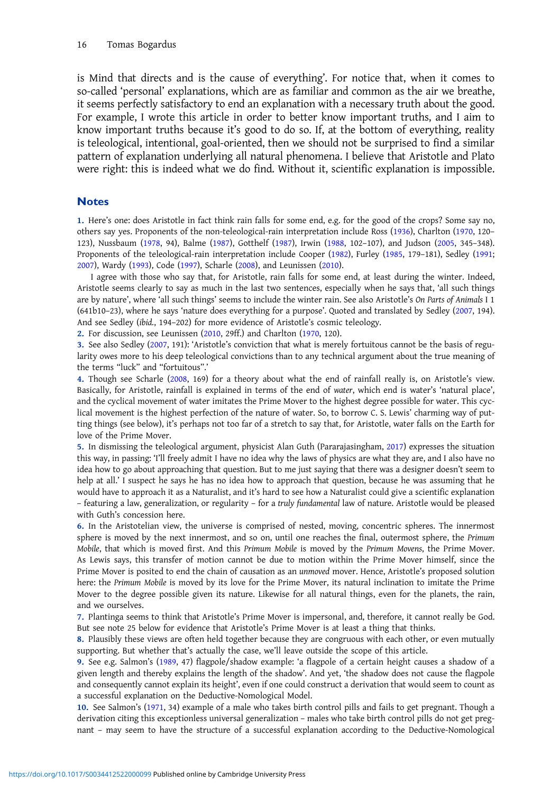<span id="page-15-0"></span>is Mind that directs and is the cause of everything'. For notice that, when it comes to so-called 'personal' explanations, which are as familiar and common as the air we breathe, it seems perfectly satisfactory to end an explanation with a necessary truth about the good. For example, I wrote this article in order to better know important truths, and I aim to know important truths because it's good to do so. If, at the bottom of everything, reality is teleological, intentional, goal-oriented, then we should not be surprised to find a similar pattern of explanation underlying all natural phenomena. I believe that Aristotle and Plato were right: this is indeed what we do find. Without it, scientific explanation is impossible.

## **Notes**

1. Here's one: does Aristotle in fact think rain falls for some end, e.g. for the good of the crops? Some say no, others say yes. Proponents of the non-teleological-rain interpretation include Ross [\(1936\)](#page-22-0), Charlton [\(1970](#page-21-0), 120– 123), Nussbaum [\(1978](#page-22-0), 94), Balme ([1987\)](#page-21-0), Gotthelf ([1987\)](#page-21-0), Irwin ([1988,](#page-22-0) 102–107), and Judson [\(2005,](#page-22-0) 345–348). Proponents of the teleological-rain interpretation include Cooper [\(1982](#page-21-0)), Furley [\(1985](#page-21-0), 179–181), Sedley ([1991;](#page-23-0) [2007](#page-23-0)), Wardy [\(1993](#page-23-0)), Code [\(1997](#page-21-0)), Scharle [\(2008](#page-23-0)), and Leunissen [\(2010](#page-22-0)).

I agree with those who say that, for Aristotle, rain falls for some end, at least during the winter. Indeed, Aristotle seems clearly to say as much in the last two sentences, especially when he says that, 'all such things are by nature', where 'all such things' seems to include the winter rain. See also Aristotle's On Parts of Animals I 1 (641b10–23), where he says 'nature does everything for a purpose'. Quoted and translated by Sedley [\(2007,](#page-23-0) 194). And see Sedley (ibid., 194–202) for more evidence of Aristotle's cosmic teleology.

2. For discussion, see Leunissen ([2010,](#page-22-0) 29ff.) and Charlton ([1970,](#page-21-0) 120).

3. See also Sedley [\(2007](#page-23-0), 191): 'Aristotle's conviction that what is merely fortuitous cannot be the basis of regularity owes more to his deep teleological convictions than to any technical argument about the true meaning of the terms "luck" and "fortuitous".'

4. Though see Scharle [\(2008](#page-23-0), 169) for a theory about what the end of rainfall really is, on Aristotle's view. Basically, for Aristotle, rainfall is explained in terms of the end of water, which end is water's 'natural place', and the cyclical movement of water imitates the Prime Mover to the highest degree possible for water. This cyclical movement is the highest perfection of the nature of water. So, to borrow C. S. Lewis' charming way of putting things (see below), it's perhaps not too far of a stretch to say that, for Aristotle, water falls on the Earth for love of the Prime Mover.

5. In dismissing the teleological argument, physicist Alan Guth (Pararajasingham, [2017](#page-22-0)) expresses the situation this way, in passing: 'I'll freely admit I have no idea why the laws of physics are what they are, and I also have no idea how to go about approaching that question. But to me just saying that there was a designer doesn't seem to help at all.' I suspect he says he has no idea how to approach that question, because he was assuming that he would have to approach it as a Naturalist, and it's hard to see how a Naturalist could give a scientific explanation – featuring a law, generalization, or regularity – for a truly fundamental law of nature. Aristotle would be pleased with Guth's concession here.

6. In the Aristotelian view, the universe is comprised of nested, moving, concentric spheres. The innermost sphere is moved by the next innermost, and so on, until one reaches the final, outermost sphere, the Primum Mobile, that which is moved first. And this Primum Mobile is moved by the Primum Movens, the Prime Mover. As Lewis says, this transfer of motion cannot be due to motion within the Prime Mover himself, since the Prime Mover is posited to end the chain of causation as an unmoved mover. Hence, Aristotle's proposed solution here: the Primum Mobile is moved by its love for the Prime Mover, its natural inclination to imitate the Prime Mover to the degree possible given its nature. Likewise for all natural things, even for the planets, the rain, and we ourselves.

7. Plantinga seems to think that Aristotle's Prime Mover is impersonal, and, therefore, it cannot really be God. But see note 25 below for evidence that Aristotle's Prime Mover is at least a thing that thinks.

8. Plausibly these views are often held together because they are congruous with each other, or even mutually supporting. But whether that's actually the case, we'll leave outside the scope of this article.

9. See e.g. Salmon's ([1989,](#page-22-0) 47) flagpole/shadow example: 'a flagpole of a certain height causes a shadow of a given length and thereby explains the length of the shadow'. And yet, 'the shadow does not cause the flagpole and consequently cannot explain its height', even if one could construct a derivation that would seem to count as a successful explanation on the Deductive-Nomological Model.

10. See Salmon's [\(1971](#page-22-0), 34) example of a male who takes birth control pills and fails to get pregnant. Though a derivation citing this exceptionless universal generalization – males who take birth control pills do not get pregnant – may seem to have the structure of a successful explanation according to the Deductive-Nomological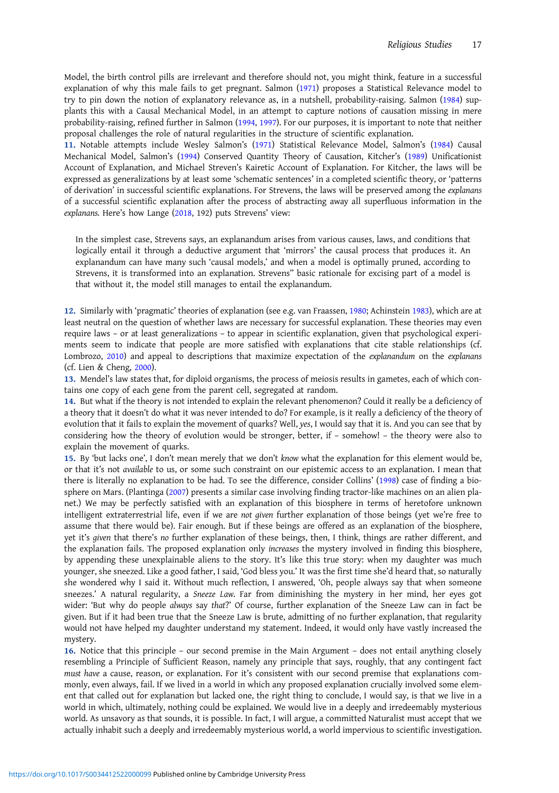<span id="page-16-0"></span>Model, the birth control pills are irrelevant and therefore should not, you might think, feature in a successful explanation of why this male fails to get pregnant. Salmon [\(1971](#page-22-0)) proposes a Statistical Relevance model to try to pin down the notion of explanatory relevance as, in a nutshell, probability-raising. Salmon ([1984\)](#page-22-0) supplants this with a Causal Mechanical Model, in an attempt to capture notions of causation missing in mere probability-raising, refined further in Salmon [\(1994](#page-22-0), [1997\)](#page-22-0). For our purposes, it is important to note that neither proposal challenges the role of natural regularities in the structure of scientific explanation.

11. Notable attempts include Wesley Salmon's [\(1971](#page-22-0)) Statistical Relevance Model, Salmon's [\(1984](#page-22-0)) Causal Mechanical Model, Salmon's ([1994\)](#page-22-0) Conserved Quantity Theory of Causation, Kitcher's ([1989\)](#page-22-0) Unificationist Account of Explanation, and Michael Streven's Kairetic Account of Explanation. For Kitcher, the laws will be expressed as generalizations by at least some 'schematic sentences' in a completed scientific theory, or 'patterns of derivation' in successful scientific explanations. For Strevens, the laws will be preserved among the explanans of a successful scientific explanation after the process of abstracting away all superfluous information in the explanans. Here's how Lange [\(2018](#page-22-0), 192) puts Strevens' view:

In the simplest case, Strevens says, an explanandum arises from various causes, laws, and conditions that logically entail it through a deductive argument that 'mirrors' the causal process that produces it. An explanandum can have many such 'causal models,' and when a model is optimally pruned, according to Strevens, it is transformed into an explanation. Strevens" basic rationale for excising part of a model is that without it, the model still manages to entail the explanandum.

12. Similarly with 'pragmatic' theories of explanation (see e.g. van Fraassen, [1980](#page-23-0); Achinstein [1983\)](#page-21-0), which are at least neutral on the question of whether laws are necessary for successful explanation. These theories may even require laws – or at least generalizations – to appear in scientific explanation, given that psychological experiments seem to indicate that people are more satisfied with explanations that cite stable relationships (cf. Lombrozo, [2010](#page-22-0)) and appeal to descriptions that maximize expectation of the explanandum on the explanans (cf. Lien & Cheng, [2000\)](#page-22-0).

13. Mendel's law states that, for diploid organisms, the process of meiosis results in gametes, each of which contains one copy of each gene from the parent cell, segregated at random.

14. But what if the theory is not intended to explain the relevant phenomenon? Could it really be a deficiency of a theory that it doesn't do what it was never intended to do? For example, is it really a deficiency of the theory of evolution that it fails to explain the movement of quarks? Well, yes, I would say that it is. And you can see that by considering how the theory of evolution would be stronger, better, if – somehow! – the theory were also to explain the movement of quarks.

15. By 'but lacks one', I don't mean merely that we don't know what the explanation for this element would be, or that it's not available to us, or some such constraint on our epistemic access to an explanation. I mean that there is literally no explanation to be had. To see the difference, consider Collins' ([1998\)](#page-21-0) case of finding a biosphere on Mars. (Plantinga [\(2007](#page-22-0)) presents a similar case involving finding tractor-like machines on an alien planet.) We may be perfectly satisfied with an explanation of this biosphere in terms of heretofore unknown intelligent extraterrestrial life, even if we are not given further explanation of those beings (yet we're free to assume that there would be). Fair enough. But if these beings are offered as an explanation of the biosphere, yet it's given that there's no further explanation of these beings, then, I think, things are rather different, and the explanation fails. The proposed explanation only increases the mystery involved in finding this biosphere, by appending these unexplainable aliens to the story. It's like this true story: when my daughter was much younger, she sneezed. Like a good father, I said, 'God bless you.' It was the first time she'd heard that, so naturally she wondered why I said it. Without much reflection, I answered, 'Oh, people always say that when someone sneezes.' A natural regularity, a Sneeze Law. Far from diminishing the mystery in her mind, her eyes got wider: 'But why do people always say that?' Of course, further explanation of the Sneeze Law can in fact be given. But if it had been true that the Sneeze Law is brute, admitting of no further explanation, that regularity would not have helped my daughter understand my statement. Indeed, it would only have vastly increased the mystery.

16. Notice that this principle – our second premise in the Main Argument – does not entail anything closely resembling a Principle of Sufficient Reason, namely any principle that says, roughly, that any contingent fact must have a cause, reason, or explanation. For it's consistent with our second premise that explanations commonly, even always, fail. If we lived in a world in which any proposed explanation crucially involved some element that called out for explanation but lacked one, the right thing to conclude, I would say, is that we live in a world in which, ultimately, nothing could be explained. We would live in a deeply and irredeemably mysterious world. As unsavory as that sounds, it is possible. In fact, I will argue, a committed Naturalist must accept that we actually inhabit such a deeply and irredeemably mysterious world, a world impervious to scientific investigation.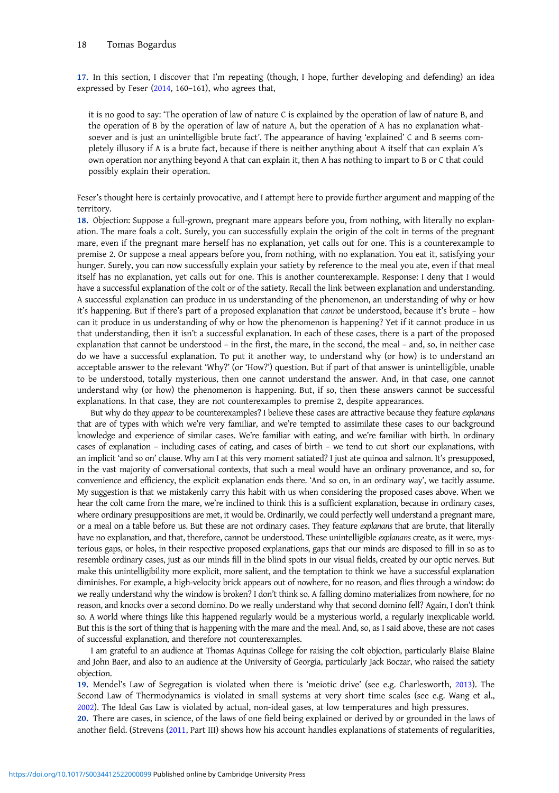<span id="page-17-0"></span>17. In this section, I discover that I'm repeating (though, I hope, further developing and defending) an idea expressed by Feser ([2014,](#page-21-0) 160–161), who agrees that,

it is no good to say: 'The operation of law of nature C is explained by the operation of law of nature B, and the operation of B by the operation of law of nature A, but the operation of A has no explanation whatsoever and is just an unintelligible brute fact'. The appearance of having 'explained' C and B seems completely illusory if A is a brute fact, because if there is neither anything about A itself that can explain A's own operation nor anything beyond A that can explain it, then A has nothing to impart to B or C that could possibly explain their operation.

Feser's thought here is certainly provocative, and I attempt here to provide further argument and mapping of the territory.

18. Objection: Suppose a full-grown, pregnant mare appears before you, from nothing, with literally no explanation. The mare foals a colt. Surely, you can successfully explain the origin of the colt in terms of the pregnant mare, even if the pregnant mare herself has no explanation, yet calls out for one. This is a counterexample to premise 2. Or suppose a meal appears before you, from nothing, with no explanation. You eat it, satisfying your hunger. Surely, you can now successfully explain your satiety by reference to the meal you ate, even if that meal itself has no explanation, yet calls out for one. This is another counterexample. Response: I deny that I would have a successful explanation of the colt or of the satiety. Recall the link between explanation and understanding. A successful explanation can produce in us understanding of the phenomenon, an understanding of why or how it's happening. But if there's part of a proposed explanation that cannot be understood, because it's brute – how can it produce in us understanding of why or how the phenomenon is happening? Yet if it cannot produce in us that understanding, then it isn't a successful explanation. In each of these cases, there is a part of the proposed explanation that cannot be understood – in the first, the mare, in the second, the meal – and, so, in neither case do we have a successful explanation. To put it another way, to understand why (or how) is to understand an acceptable answer to the relevant 'Why?' (or 'How?') question. But if part of that answer is unintelligible, unable to be understood, totally mysterious, then one cannot understand the answer. And, in that case, one cannot understand why (or how) the phenomenon is happening. But, if so, then these answers cannot be successful explanations. In that case, they are not counterexamples to premise 2, despite appearances.

But why do they appear to be counterexamples? I believe these cases are attractive because they feature explanans that are of types with which we're very familiar, and we're tempted to assimilate these cases to our background knowledge and experience of similar cases. We're familiar with eating, and we're familiar with birth. In ordinary cases of explanation – including cases of eating, and cases of birth – we tend to cut short our explanations, with an implicit 'and so on' clause. Why am I at this very moment satiated? I just ate quinoa and salmon. It's presupposed, in the vast majority of conversational contexts, that such a meal would have an ordinary provenance, and so, for convenience and efficiency, the explicit explanation ends there. 'And so on, in an ordinary way', we tacitly assume. My suggestion is that we mistakenly carry this habit with us when considering the proposed cases above. When we hear the colt came from the mare, we're inclined to think this is a sufficient explanation, because in ordinary cases, where ordinary presuppositions are met, it would be. Ordinarily, we could perfectly well understand a pregnant mare, or a meal on a table before us. But these are not ordinary cases. They feature explanans that are brute, that literally have no explanation, and that, therefore, cannot be understood. These unintelligible explanans create, as it were, mysterious gaps, or holes, in their respective proposed explanations, gaps that our minds are disposed to fill in so as to resemble ordinary cases, just as our minds fill in the blind spots in our visual fields, created by our optic nerves. But make this unintelligibility more explicit, more salient, and the temptation to think we have a successful explanation diminishes. For example, a high-velocity brick appears out of nowhere, for no reason, and flies through a window: do we really understand why the window is broken? I don't think so. A falling domino materializes from nowhere, for no reason, and knocks over a second domino. Do we really understand why that second domino fell? Again, I don't think so. A world where things like this happened regularly would be a mysterious world, a regularly inexplicable world. But this is the sort of thing that is happening with the mare and the meal. And, so, as I said above, these are not cases of successful explanation, and therefore not counterexamples.

I am grateful to an audience at Thomas Aquinas College for raising the colt objection, particularly Blaise Blaine and John Baer, and also to an audience at the University of Georgia, particularly Jack Boczar, who raised the satiety objection.

19. Mendel's Law of Segregation is violated when there is 'meiotic drive' (see e.g. Charlesworth, [2013\)](#page-21-0). The Second Law of Thermodynamics is violated in small systems at very short time scales (see e.g. Wang et al., [2002](#page-23-0)). The Ideal Gas Law is violated by actual, non-ideal gases, at low temperatures and high pressures.

20. There are cases, in science, of the laws of one field being explained or derived by or grounded in the laws of another field. (Strevens [\(2011](#page-23-0), Part III) shows how his account handles explanations of statements of regularities,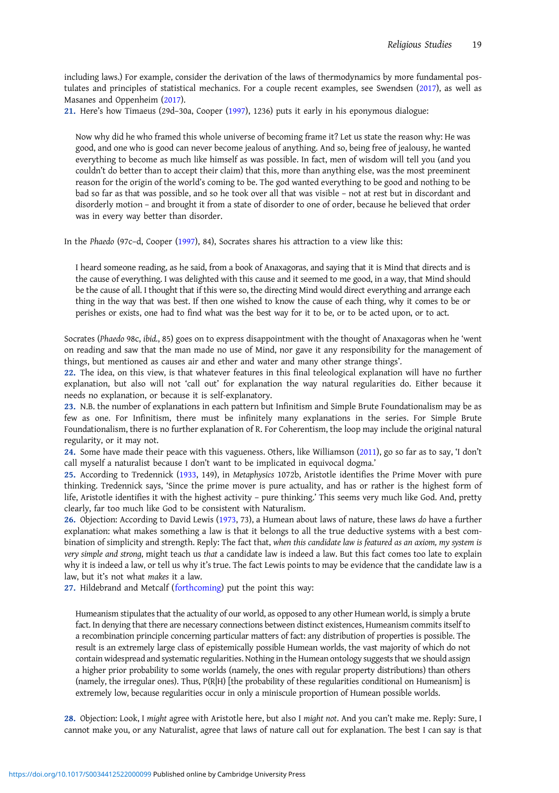<span id="page-18-0"></span>including laws.) For example, consider the derivation of the laws of thermodynamics by more fundamental postulates and principles of statistical mechanics. For a couple recent examples, see Swendsen [\(2017\)](#page-23-0), as well as Masanes and Oppenheim ([2017\)](#page-22-0).

21. Here's how Timaeus (29d–30a, Cooper ([1997\)](#page-21-0), 1236) puts it early in his eponymous dialogue:

Now why did he who framed this whole universe of becoming frame it? Let us state the reason why: He was good, and one who is good can never become jealous of anything. And so, being free of jealousy, he wanted everything to become as much like himself as was possible. In fact, men of wisdom will tell you (and you couldn't do better than to accept their claim) that this, more than anything else, was the most preeminent reason for the origin of the world's coming to be. The god wanted everything to be good and nothing to be bad so far as that was possible, and so he took over all that was visible – not at rest but in discordant and disorderly motion – and brought it from a state of disorder to one of order, because he believed that order was in every way better than disorder.

In the Phaedo (97c–d, Cooper [\(1997](#page-21-0)), 84), Socrates shares his attraction to a view like this:

I heard someone reading, as he said, from a book of Anaxagoras, and saying that it is Mind that directs and is the cause of everything. I was delighted with this cause and it seemed to me good, in a way, that Mind should be the cause of all. I thought that if this were so, the directing Mind would direct everything and arrange each thing in the way that was best. If then one wished to know the cause of each thing, why it comes to be or perishes or exists, one had to find what was the best way for it to be, or to be acted upon, or to act.

Socrates (Phaedo 98c, ibid., 85) goes on to express disappointment with the thought of Anaxagoras when he 'went on reading and saw that the man made no use of Mind, nor gave it any responsibility for the management of things, but mentioned as causes air and ether and water and many other strange things'.

22. The idea, on this view, is that whatever features in this final teleological explanation will have no further explanation, but also will not 'call out' for explanation the way natural regularities do. Either because it needs no explanation, or because it is self-explanatory.

23. N.B. the number of explanations in each pattern but Infinitism and Simple Brute Foundationalism may be as few as one. For Infinitism, there must be infinitely many explanations in the series. For Simple Brute Foundationalism, there is no further explanation of R. For Coherentism, the loop may include the original natural regularity, or it may not.

24. Some have made their peace with this vagueness. Others, like Williamson [\(2011](#page-23-0)), go so far as to say, 'I don't call myself a naturalist because I don't want to be implicated in equivocal dogma.'

25. According to Tredennick [\(1933](#page-23-0), 149), in Metaphysics 1072b, Aristotle identifies the Prime Mover with pure thinking. Tredennick says, 'Since the prime mover is pure actuality, and has or rather is the highest form of life, Aristotle identifies it with the highest activity – pure thinking.' This seems very much like God. And, pretty clearly, far too much like God to be consistent with Naturalism.

26. Objection: According to David Lewis [\(1973](#page-22-0), 73), a Humean about laws of nature, these laws do have a further explanation: what makes something a law is that it belongs to all the true deductive systems with a best combination of simplicity and strength. Reply: The fact that, when this candidate law is featured as an axiom, my system is very simple and strong, might teach us that a candidate law is indeed a law. But this fact comes too late to explain why it is indeed a law, or tell us why it's true. The fact Lewis points to may be evidence that the candidate law is a law, but it's not what makes it a law.

27. Hildebrand and Metcalf ([forthcoming](#page-22-0)) put the point this way:

Humeanism stipulates that the actuality of our world, as opposed to any other Humean world, is simply a brute fact. In denying that there are necessary connections between distinct existences, Humeanism commits itself to a recombination principle concerning particular matters of fact: any distribution of properties is possible. The result is an extremely large class of epistemically possible Humean worlds, the vast majority of which do not contain widespread and systematic regularities. Nothing in the Humean ontology suggests that we should assign a higher prior probability to some worlds (namely, the ones with regular property distributions) than others (namely, the irregular ones). Thus, P(R|H) [the probability of these regularities conditional on Humeanism] is extremely low, because regularities occur in only a miniscule proportion of Humean possible worlds.

28. Objection: Look, I might agree with Aristotle here, but also I might not. And you can't make me. Reply: Sure, I cannot make you, or any Naturalist, agree that laws of nature call out for explanation. The best I can say is that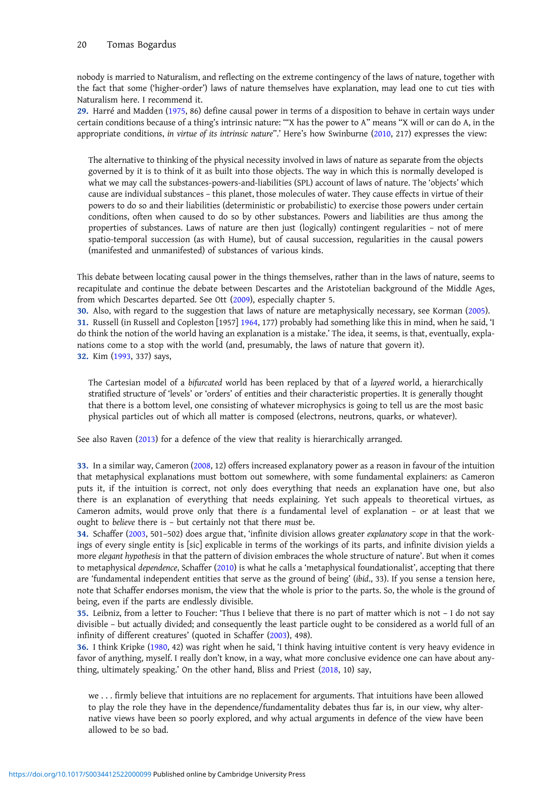<span id="page-19-0"></span>nobody is married to Naturalism, and reflecting on the extreme contingency of the laws of nature, together with the fact that some ('higher-order') laws of nature themselves have explanation, may lead one to cut ties with Naturalism here. I recommend it.

29. Harré and Madden ([1975,](#page-21-0) 86) define causal power in terms of a disposition to behave in certain ways under certain conditions because of a thing's intrinsic nature: '"X has the power to A" means "X will or can do A, in the appropriate conditions, in virtue of its intrinsic nature".' Here's how Swinburne ([2010,](#page-23-0) 217) expresses the view:

The alternative to thinking of the physical necessity involved in laws of nature as separate from the objects governed by it is to think of it as built into those objects. The way in which this is normally developed is what we may call the substances-powers-and-liabilities (SPL) account of laws of nature. The 'objects' which cause are individual substances – this planet, those molecules of water. They cause effects in virtue of their powers to do so and their liabilities (deterministic or probabilistic) to exercise those powers under certain conditions, often when caused to do so by other substances. Powers and liabilities are thus among the properties of substances. Laws of nature are then just (logically) contingent regularities – not of mere spatio-temporal succession (as with Hume), but of causal succession, regularities in the causal powers (manifested and unmanifested) of substances of various kinds.

This debate between locating causal power in the things themselves, rather than in the laws of nature, seems to recapitulate and continue the debate between Descartes and the Aristotelian background of the Middle Ages, from which Descartes departed. See Ott ([2009\)](#page-22-0), especially chapter 5.

30. Also, with regard to the suggestion that laws of nature are metaphysically necessary, see Korman [\(2005](#page-22-0)). 31. Russell (in Russell and Copleston [1957] [1964](#page-22-0), 177) probably had something like this in mind, when he said, 'I do think the notion of the world having an explanation is a mistake.' The idea, it seems, is that, eventually, explanations come to a stop with the world (and, presumably, the laws of nature that govern it). 32. Kim [\(1993](#page-22-0), 337) says,

The Cartesian model of a bifurcated world has been replaced by that of a layered world, a hierarchically stratified structure of 'levels' or 'orders' of entities and their characteristic properties. It is generally thought that there is a bottom level, one consisting of whatever microphysics is going to tell us are the most basic physical particles out of which all matter is composed (electrons, neutrons, quarks, or whatever).

See also Raven [\(2013](#page-22-0)) for a defence of the view that reality is hierarchically arranged.

33. In a similar way, Cameron ([2008,](#page-21-0) 12) offers increased explanatory power as a reason in favour of the intuition that metaphysical explanations must bottom out somewhere, with some fundamental explainers: as Cameron puts it, if the intuition is correct, not only does everything that needs an explanation have one, but also there is an explanation of everything that needs explaining. Yet such appeals to theoretical virtues, as Cameron admits, would prove only that there is a fundamental level of explanation – or at least that we ought to believe there is – but certainly not that there must be.

34. Schaffer ([2003,](#page-22-0) 501–502) does argue that, 'infinite division allows greater explanatory scope in that the workings of every single entity is [sic] explicable in terms of the workings of its parts, and infinite division yields a more elegant hypothesis in that the pattern of division embraces the whole structure of nature'. But when it comes to metaphysical dependence, Schaffer [\(2010](#page-22-0)) is what he calls a 'metaphysical foundationalist', accepting that there are 'fundamental independent entities that serve as the ground of being' (ibid., 33). If you sense a tension here, note that Schaffer endorses monism, the view that the whole is prior to the parts. So, the whole is the ground of being, even if the parts are endlessly divisible.

35. Leibniz, from a letter to Foucher: 'Thus I believe that there is no part of matter which is not – I do not say divisible – but actually divided; and consequently the least particle ought to be considered as a world full of an infinity of different creatures' (quoted in Schaffer [\(2003](#page-22-0)), 498).

36. I think Kripke ([1980,](#page-22-0) 42) was right when he said, 'I think having intuitive content is very heavy evidence in favor of anything, myself. I really don't know, in a way, what more conclusive evidence one can have about anything, ultimately speaking.' On the other hand, Bliss and Priest ([2018](#page-21-0), 10) say,

we . . . firmly believe that intuitions are no replacement for arguments. That intuitions have been allowed to play the role they have in the dependence/fundamentality debates thus far is, in our view, why alternative views have been so poorly explored, and why actual arguments in defence of the view have been allowed to be so bad.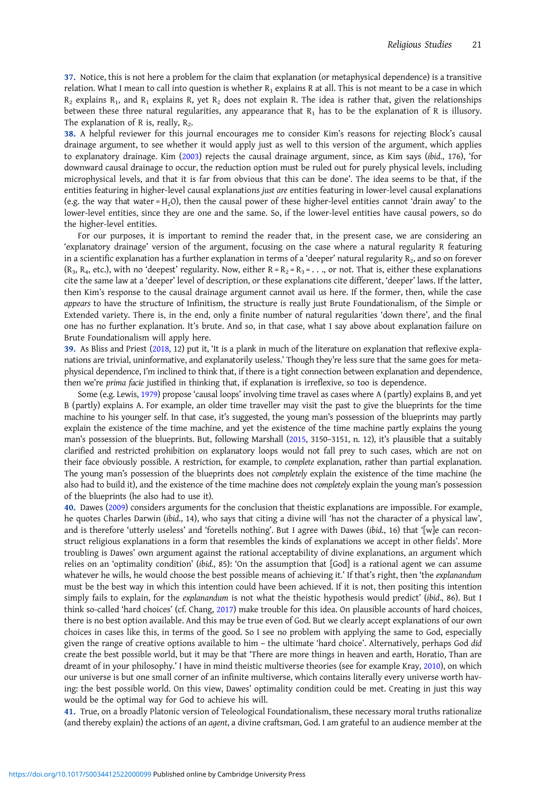<span id="page-20-0"></span>37. Notice, this is not here a problem for the claim that explanation (or metaphysical dependence) is a transitive relation. What I mean to call into question is whether  $R_1$  explains R at all. This is not meant to be a case in which  $R_2$  explains  $R_1$ , and  $R_1$  explains R, yet  $R_2$  does not explain R. The idea is rather that, given the relationships between these three natural regularities, any appearance that  $R_1$  has to be the explanation of R is illusory. The explanation of R is, really,  $R_2$ .

38. A helpful reviewer for this journal encourages me to consider Kim's reasons for rejecting Block's causal drainage argument, to see whether it would apply just as well to this version of the argument, which applies to explanatory drainage. Kim ([2003\)](#page-22-0) rejects the causal drainage argument, since, as Kim says (ibid., 176), 'for downward causal drainage to occur, the reduction option must be ruled out for purely physical levels, including microphysical levels, and that it is far from obvious that this can be done'. The idea seems to be that, if the entities featuring in higher-level causal explanations just are entities featuring in lower-level causal explanations (e.g. the way that water =  $H_2O$ ), then the causal power of these higher-level entities cannot 'drain away' to the lower-level entities, since they are one and the same. So, if the lower-level entities have causal powers, so do the higher-level entities.

For our purposes, it is important to remind the reader that, in the present case, we are considering an 'explanatory drainage' version of the argument, focusing on the case where a natural regularity R featuring in a scientific explanation has a further explanation in terms of a 'deeper' natural regularity  $R_2$ , and so on forever (R<sub>3</sub>, R<sub>4</sub>, etc.), with no 'deepest' regularity. Now, either R = R<sub>2</sub> = R<sub>3</sub> = . . ., or not. That is, either these explanations cite the same law at a 'deeper' level of description, or these explanations cite different, 'deeper' laws. If the latter, then Kim's response to the causal drainage argument cannot avail us here. If the former, then, while the case appears to have the structure of Infinitism, the structure is really just Brute Foundationalism, of the Simple or Extended variety. There is, in the end, only a finite number of natural regularities 'down there', and the final one has no further explanation. It's brute. And so, in that case, what I say above about explanation failure on Brute Foundationalism will apply here.

39. As Bliss and Priest [\(2018](#page-21-0), 12) put it, 'It is a plank in much of the literature on explanation that reflexive explanations are trivial, uninformative, and explanatorily useless.' Though they're less sure that the same goes for metaphysical dependence, I'm inclined to think that, if there is a tight connection between explanation and dependence, then we're prima facie justified in thinking that, if explanation is irreflexive, so too is dependence.

Some (e.g. Lewis, [1979](#page-22-0)) propose 'causal loops' involving time travel as cases where A (partly) explains B, and yet B (partly) explains A. For example, an older time traveller may visit the past to give the blueprints for the time machine to his younger self. In that case, it's suggested, the young man's possession of the blueprints may partly explain the existence of the time machine, and yet the existence of the time machine partly explains the young man's possession of the blueprints. But, following Marshall [\(2015,](#page-22-0) 3150–3151, n. 12), it's plausible that a suitably clarified and restricted prohibition on explanatory loops would not fall prey to such cases, which are not on their face obviously possible. A restriction, for example, to complete explanation, rather than partial explanation. The young man's possession of the blueprints does not completely explain the existence of the time machine (he also had to build it), and the existence of the time machine does not completely explain the young man's possession of the blueprints (he also had to use it).

40. Dawes ([2009\)](#page-21-0) considers arguments for the conclusion that theistic explanations are impossible. For example, he quotes Charles Darwin (ibid., 14), who says that citing a divine will 'has not the character of a physical law', and is therefore 'utterly useless' and 'foretells nothing'. But I agree with Dawes (ibid., 16) that '[w]e can reconstruct religious explanations in a form that resembles the kinds of explanations we accept in other fields'. More troubling is Dawes' own argument against the rational acceptability of divine explanations, an argument which relies on an 'optimality condition' (ibid., 85): 'On the assumption that [God] is a rational agent we can assume whatever he wills, he would choose the best possible means of achieving it.' If that's right, then 'the explanandum must be the best way in which this intention could have been achieved. If it is not, then positing this intention simply fails to explain, for the explanandum is not what the theistic hypothesis would predict' (ibid., 86). But I think so-called 'hard choices' (cf. Chang, [2017\)](#page-21-0) make trouble for this idea. On plausible accounts of hard choices, there is no best option available. And this may be true even of God. But we clearly accept explanations of our own choices in cases like this, in terms of the good. So I see no problem with applying the same to God, especially given the range of creative options available to him – the ultimate 'hard choice'. Alternatively, perhaps God did create the best possible world, but it may be that 'There are more things in heaven and earth, Horatio, Than are dreamt of in your philosophy.' I have in mind theistic multiverse theories (see for example Kray, [2010\)](#page-22-0), on which our universe is but one small corner of an infinite multiverse, which contains literally every universe worth having: the best possible world. On this view, Dawes' optimality condition could be met. Creating in just this way would be the optimal way for God to achieve his will.

41. True, on a broadly Platonic version of Teleological Foundationalism, these necessary moral truths rationalize (and thereby explain) the actions of an agent, a divine craftsman, God. I am grateful to an audience member at the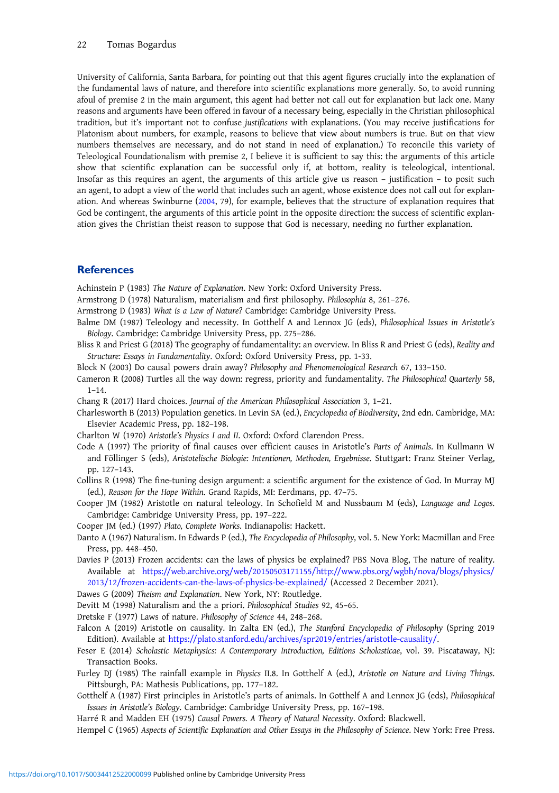#### <span id="page-21-0"></span>22 Tomas Bogardus

University of California, Santa Barbara, for pointing out that this agent figures crucially into the explanation of the fundamental laws of nature, and therefore into scientific explanations more generally. So, to avoid running afoul of premise 2 in the main argument, this agent had better not call out for explanation but lack one. Many reasons and arguments have been offered in favour of a necessary being, especially in the Christian philosophical tradition, but it's important not to confuse justifications with explanations. (You may receive justifications for Platonism about numbers, for example, reasons to believe that view about numbers is true. But on that view numbers themselves are necessary, and do not stand in need of explanation.) To reconcile this variety of Teleological Foundationalism with premise 2, I believe it is sufficient to say this: the arguments of this article show that scientific explanation can be successful only if, at bottom, reality is teleological, intentional. Insofar as this requires an agent, the arguments of this article give us reason – justification – to posit such an agent, to adopt a view of the world that includes such an agent, whose existence does not call out for explanation. And whereas Swinburne ([2004,](#page-23-0) 79), for example, believes that the structure of explanation requires that God be contingent, the arguments of this article point in the opposite direction: the success of scientific explanation gives the Christian theist reason to suppose that God is necessary, needing no further explanation.

# **References**

Achinstein P (1983) The Nature of Explanation. New York: Oxford University Press.

- Armstrong D (1978) Naturalism, materialism and first philosophy. Philosophia 8, 261–276.
- Armstrong D (1983) What is a Law of Nature? Cambridge: Cambridge University Press.
- Balme DM (1987) Teleology and necessity. In Gotthelf A and Lennox JG (eds), Philosophical Issues in Aristotle's Biology. Cambridge: Cambridge University Press, pp. 275–286.
- Bliss R and Priest G (2018) The geography of fundamentality: an overview. In Bliss R and Priest G (eds), Reality and Structure: Essays in Fundamentality. Oxford: Oxford University Press, pp. 1-33.
- Block N (2003) Do causal powers drain away? Philosophy and Phenomenological Research 67, 133–150.
- Cameron R (2008) Turtles all the way down: regress, priority and fundamentality. The Philosophical Quarterly 58, 1–14.
- Chang R (2017) Hard choices. Journal of the American Philosophical Association 3, 1–21.
- Charlesworth B (2013) Population genetics. In Levin SA (ed.), Encyclopedia of Biodiversity, 2nd edn. Cambridge, MA: Elsevier Academic Press, pp. 182–198.
- Charlton W (1970) Aristotle's Physics I and II. Oxford: Oxford Clarendon Press.
- Code A (1997) The priority of final causes over efficient causes in Aristotle's Parts of Animals. In Kullmann W and Föllinger S (eds), Aristotelische Biologie: Intentionen, Methoden, Ergebnisse. Stuttgart: Franz Steiner Verlag, pp. 127–143.
- Collins R (1998) The fine-tuning design argument: a scientific argument for the existence of God. In Murray MJ (ed.), Reason for the Hope Within. Grand Rapids, MI: Eerdmans, pp. 47–75.
- Cooper JM (1982) Aristotle on natural teleology. In Schofield M and Nussbaum M (eds), Language and Logos. Cambridge: Cambridge University Press, pp. 197–222.
- Cooper JM (ed.) (1997) Plato, Complete Works. Indianapolis: Hackett.
- Danto A (1967) Naturalism. In Edwards P (ed.), The Encyclopedia of Philosophy, vol. 5. New York: Macmillan and Free Press, pp. 448–450.
- Davies P (2013) Frozen accidents: can the laws of physics be explained? PBS Nova Blog, The nature of reality. Available at [https://web.archive.org/web/20150503171155/http://www.pbs.org/wgbh/nova/blogs/physics/](https://web.archive.org/web/20150503171155/http://www.pbs.org/wgbh/nova/blogs/physics/2013/12/frozen-accidents-can-the-laws-of-physics-be-explained/) [2013/12/frozen-accidents-can-the-laws-of-physics-be-explained/](https://web.archive.org/web/20150503171155/http://www.pbs.org/wgbh/nova/blogs/physics/2013/12/frozen-accidents-can-the-laws-of-physics-be-explained/) (Accessed 2 December 2021).
- Dawes G (2009) Theism and Explanation. New York, NY: Routledge.
- Devitt M (1998) Naturalism and the a priori. Philosophical Studies 92, 45–65.
- Dretske F (1977) Laws of nature. Philosophy of Science 44, 248–268.
- Falcon A (2019) Aristotle on causality. In Zalta EN (ed.), The Stanford Encyclopedia of Philosophy (Spring 2019 Edition). Available at [https://plato.stanford.edu/archives/spr2019/entries/aristotle-causality/.](https://plato.stanford.edu/archives/spr2019/entries/aristotle-causality/)
- Feser E (2014) Scholastic Metaphysics: A Contemporary Introduction, Editions Scholasticae, vol. 39. Piscataway, NJ: Transaction Books.
- Furley DJ (1985) The rainfall example in Physics II.8. In Gotthelf A (ed.), Aristotle on Nature and Living Things. Pittsburgh, PA: Mathesis Publications, pp. 177–182.
- Gotthelf A (1987) First principles in Aristotle's parts of animals. In Gotthelf A and Lennox JG (eds), Philosophical Issues in Aristotle's Biology. Cambridge: Cambridge University Press, pp. 167–198.
- Harré R and Madden EH (1975) Causal Powers. A Theory of Natural Necessity. Oxford: Blackwell.

Hempel C (1965) Aspects of Scientific Explanation and Other Essays in the Philosophy of Science. New York: Free Press.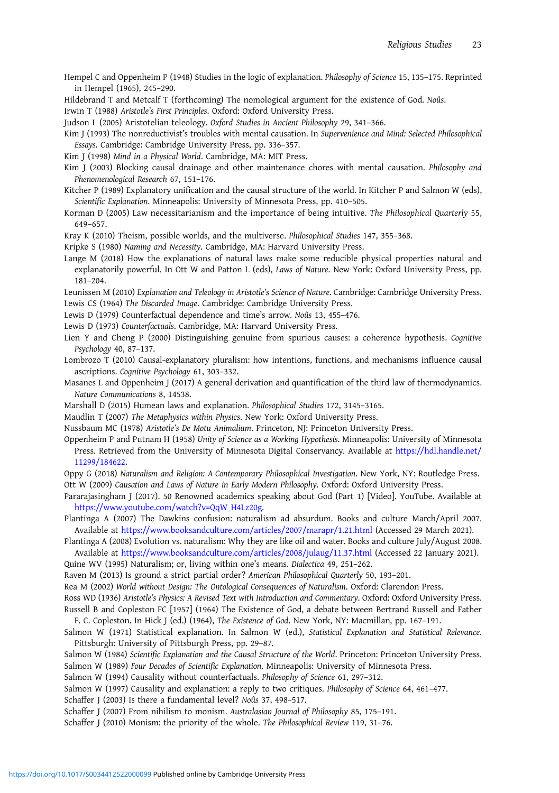- <span id="page-22-0"></span>Hempel C and Oppenheim P (1948) Studies in the logic of explanation. Philosophy of Science 15, 135–175. Reprinted in Hempel (1965), 245–290.
- Hildebrand T and Metcalf T (forthcoming) The nomological argument for the existence of God. Noûs.

Irwin T (1988) Aristotle's First Principles. Oxford: Oxford University Press.

Judson L (2005) Aristotelian teleology. Oxford Studies in Ancient Philosophy 29, 341–366.

Kim J (1993) The nonreductivist's troubles with mental causation. In Supervenience and Mind: Selected Philosophical Essays. Cambridge: Cambridge University Press, pp. 336–357.

Kim J (1998) Mind in a Physical World. Cambridge, MA: MIT Press.

- Kim J (2003) Blocking causal drainage and other maintenance chores with mental causation. Philosophy and Phenomenological Research 67, 151–176.
- Kitcher P (1989) Explanatory unification and the causal structure of the world. In Kitcher P and Salmon W (eds), Scientific Explanation. Minneapolis: University of Minnesota Press, pp. 410–505.

Korman D (2005) Law necessitarianism and the importance of being intuitive. The Philosophical Quarterly 55, 649–657.

- Kray K (2010) Theism, possible worlds, and the multiverse. Philosophical Studies 147, 355–368.
- Kripke S (1980) Naming and Necessity. Cambridge, MA: Harvard University Press.

Lange M (2018) How the explanations of natural laws make some reducible physical properties natural and explanatorily powerful. In Ott W and Patton L (eds), Laws of Nature. New York: Oxford University Press, pp. 181–204.

Leunissen M (2010) Explanation and Teleology in Aristotle's Science of Nature. Cambridge: Cambridge University Press. Lewis CS (1964) The Discarded Image. Cambridge: Cambridge University Press.

- Lewis D (1979) Counterfactual dependence and time's arrow. Noûs 13, 455–476.
- Lewis D (1973) Counterfactuals. Cambridge, MA: Harvard University Press.
- Lien Y and Cheng P (2000) Distinguishing genuine from spurious causes: a coherence hypothesis. Cognitive Psychology 40, 87–137.
- Lombrozo T (2010) Causal-explanatory pluralism: how intentions, functions, and mechanisms influence causal ascriptions. Cognitive Psychology 61, 303–332.
- Masanes L and Oppenheim J (2017) A general derivation and quantification of the third law of thermodynamics. Nature Communications 8, 14538.
- Marshall D (2015) Humean laws and explanation. Philosophical Studies 172, 3145–3165.
- Maudlin T (2007) The Metaphysics within Physics. New York: Oxford University Press.
- Nussbaum MC (1978) Aristotle's De Motu Animalium. Princeton, NJ: Princeton University Press.

Oppenheim P and Putnam H (1958) Unity of Science as a Working Hypothesis. Minneapolis: University of Minnesota Press. Retrieved from the University of Minnesota Digital Conservancy. Available at [https://hdl.handle.net/](https://hdl.handle.net/11299/184622) [11299/184622.](https://hdl.handle.net/11299/184622)

- Oppy G (2018) Naturalism and Religion: A Contemporary Philosophical Investigation. New York, NY: Routledge Press. Ott W (2009) Causation and Laws of Nature in Early Modern Philosophy. Oxford: Oxford University Press.
- Pararajasingham J (2017). 50 Renowned academics speaking about God (Part 1) [Video]. YouTube. Available at [https://www.youtube.com/watch?v=QqW\\_H4Lz20g](https://www.youtube.com/watch?v=QqW_H4Lz20g).
- Plantinga A (2007) The Dawkins confusion: naturalism ad absurdum. Books and culture March/April 2007. Available at <https://www.booksandculture.com/articles/2007/marapr/1.21.html> (Accessed 29 March 2021).

Plantinga A (2008) Evolution vs. naturalism: Why they are like oil and water. Books and culture July/August 2008. Available at <https://www.booksandculture.com/articles/2008/julaug/11.37.html> (Accessed 22 January 2021).

Quine WV (1995) Naturalism; or, living within one's means. Dialectica 49, 251–262.

Raven M (2013) Is ground a strict partial order? American Philosophical Quarterly 50, 193–201.

Rea M (2002) World without Design: The Ontological Consequences of Naturalism. Oxford: Clarendon Press.

Ross WD (1936) Aristotle's Physics: A Revised Text with Introduction and Commentary. Oxford: Oxford University Press. Russell B and Copleston FC [1957] (1964) The Existence of God, a debate between Bertrand Russell and Father F. C. Copleston. In Hick J (ed.) (1964), The Existence of God. New York, NY: Macmillan, pp. 167–191.

Salmon W (1971) Statistical explanation. In Salmon W (ed.), Statistical Explanation and Statistical Relevance. Pittsburgh: University of Pittsburgh Press, pp. 29–87.

Salmon W (1984) Scientific Explanation and the Causal Structure of the World. Princeton: Princeton University Press. Salmon W (1989) Four Decades of Scientific Explanation. Minneapolis: University of Minnesota Press.

Salmon W (1994) Causality without counterfactuals. Philosophy of Science 61, 297-312.

Salmon W (1997) Causality and explanation: a reply to two critiques. Philosophy of Science 64, 461–477.

Schaffer J (2003) Is there a fundamental level? Noûs 37, 498-517.

Schaffer J (2007) From nihilism to monism. Australasian Journal of Philosophy 85, 175–191.

Schaffer J (2010) Monism: the priority of the whole. The Philosophical Review 119, 31-76.